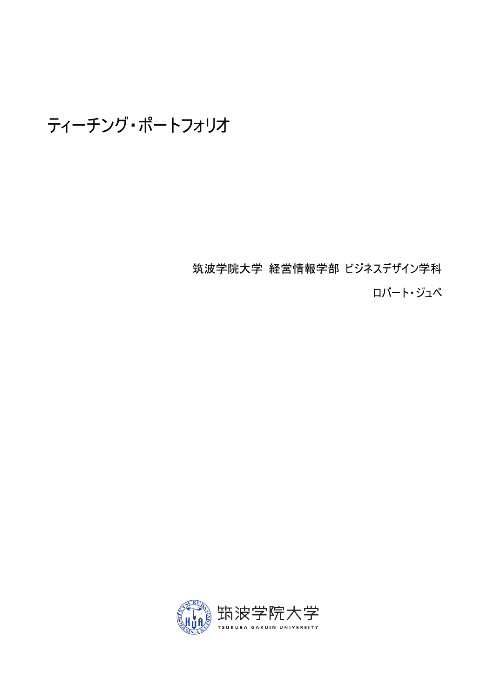ティーチング・ポートフォリオ

筑波学院大学 経営情報学部 ビジネスデザイン学科 ロバート・ジュペ

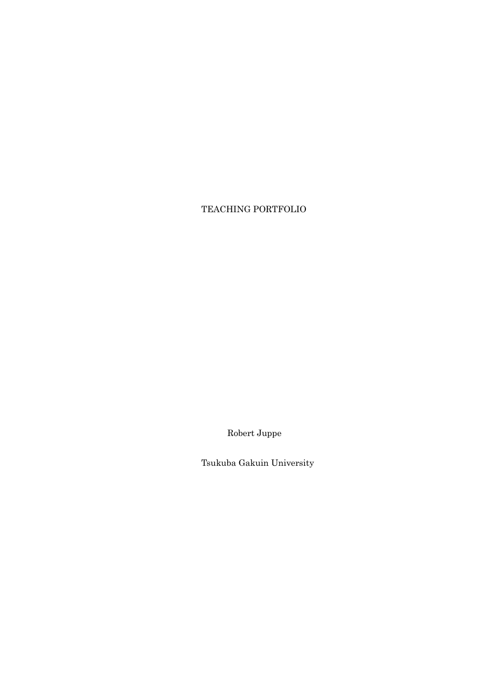## TEACHING PORTFOLIO

Robert Juppe

Tsukuba Gakuin University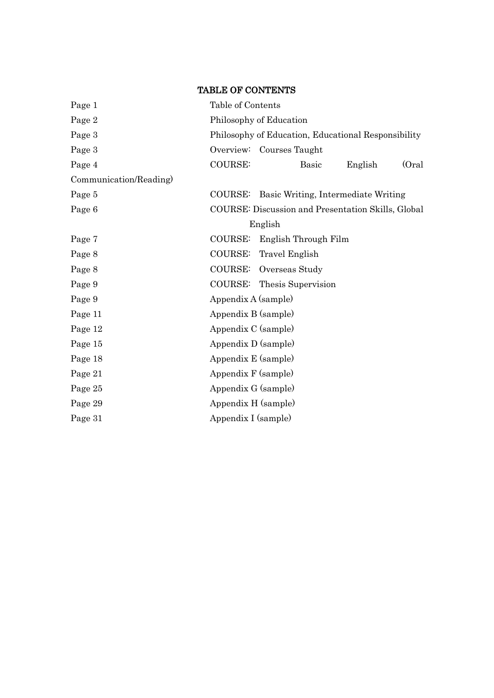## TABLE OF CONTENTS

| Page 1                 | Table of Contents                                         |  |  |
|------------------------|-----------------------------------------------------------|--|--|
| Page 2                 | Philosophy of Education                                   |  |  |
| Page 3                 | Philosophy of Education, Educational Responsibility       |  |  |
| Page 3                 | Overview: Courses Taught                                  |  |  |
| Page 4                 | <b>COURSE:</b><br>(Oral)<br><b>Basic</b><br>English       |  |  |
| Communication/Reading) |                                                           |  |  |
| Page 5                 | <b>COURSE:</b><br>Basic Writing, Intermediate Writing     |  |  |
| Page 6                 | <b>COURSE:</b> Discussion and Presentation Skills, Global |  |  |
|                        | English                                                   |  |  |
| Page 7                 | English Through Film<br><b>COURSE:</b>                    |  |  |
| Page 8                 | COURSE:<br><b>Travel English</b>                          |  |  |
| Page 8                 | COURSE:<br>Overseas Study                                 |  |  |
| Page 9                 | COURSE: Thesis Supervision                                |  |  |
| Page 9                 | Appendix A (sample)                                       |  |  |
| Page 11                | Appendix B (sample)                                       |  |  |
| Page 12                | Appendix C (sample)                                       |  |  |
| Page 15                | Appendix D (sample)                                       |  |  |
| Page 18                | Appendix E (sample)                                       |  |  |
| Page 21                | Appendix F (sample)                                       |  |  |
| Page 25                | Appendix G (sample)                                       |  |  |
| Page 29                | Appendix H (sample)                                       |  |  |
| Page 31                | Appendix I (sample)                                       |  |  |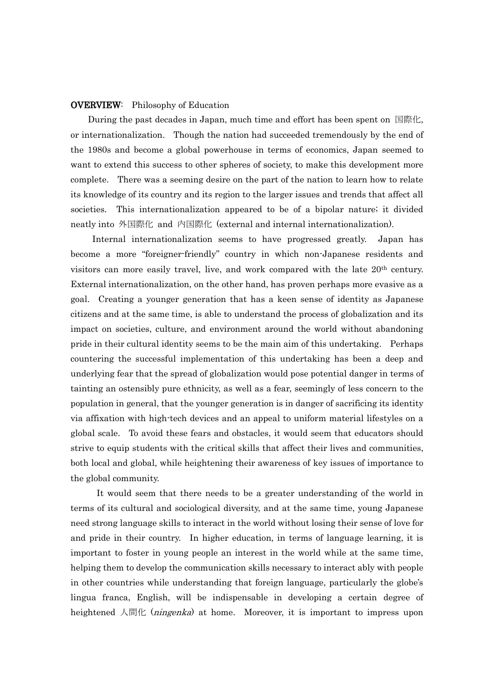#### OVERVIEW: Philosophy of Education

 During the past decades in Japan, much time and effort has been spent on 国際化, or internationalization. Though the nation had succeeded tremendously by the end of the 1980s and become a global powerhouse in terms of economics, Japan seemed to want to extend this success to other spheres of society, to make this development more complete. There was a seeming desire on the part of the nation to learn how to relate its knowledge of its country and its region to the larger issues and trends that affect all societies. This internationalization appeared to be of a bipolar nature; it divided neatly into 外国際化 and 内国際化 (external and internal internationalization).

 Internal internationalization seems to have progressed greatly. Japan has become a more "foreigner-friendly" country in which non-Japanese residents and visitors can more easily travel, live, and work compared with the late 20th century. External internationalization, on the other hand, has proven perhaps more evasive as a goal. Creating a younger generation that has a keen sense of identity as Japanese citizens and at the same time, is able to understand the process of globalization and its impact on societies, culture, and environment around the world without abandoning pride in their cultural identity seems to be the main aim of this undertaking. Perhaps countering the successful implementation of this undertaking has been a deep and underlying fear that the spread of globalization would pose potential danger in terms of tainting an ostensibly pure ethnicity, as well as a fear, seemingly of less concern to the population in general, that the younger generation is in danger of sacrificing its identity via affixation with high-tech devices and an appeal to uniform material lifestyles on a global scale. To avoid these fears and obstacles, it would seem that educators should strive to equip students with the critical skills that affect their lives and communities, both local and global, while heightening their awareness of key issues of importance to the global community.

 It would seem that there needs to be a greater understanding of the world in terms of its cultural and sociological diversity, and at the same time, young Japanese need strong language skills to interact in the world without losing their sense of love for and pride in their country. In higher education, in terms of language learning, it is important to foster in young people an interest in the world while at the same time, helping them to develop the communication skills necessary to interact ably with people in other countries while understanding that foreign language, particularly the globe's lingua franca, English, will be indispensable in developing a certain degree of heightened  $\text{Alff}$  (*ningenka*) at home. Moreover, it is important to impress upon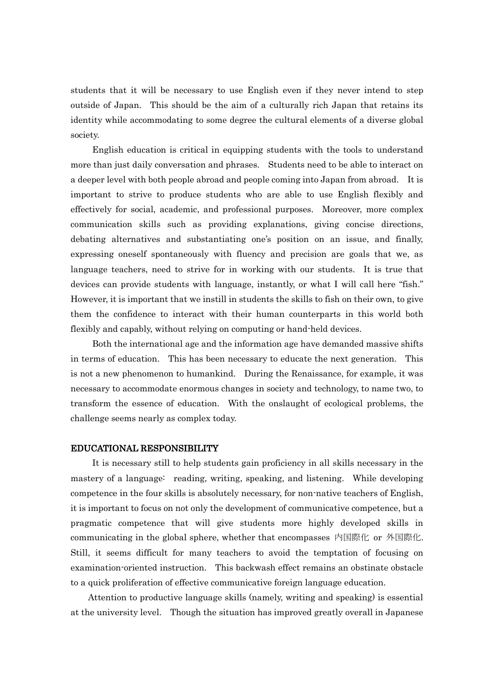students that it will be necessary to use English even if they never intend to step outside of Japan. This should be the aim of a culturally rich Japan that retains its identity while accommodating to some degree the cultural elements of a diverse global society.

 English education is critical in equipping students with the tools to understand more than just daily conversation and phrases. Students need to be able to interact on a deeper level with both people abroad and people coming into Japan from abroad. It is important to strive to produce students who are able to use English flexibly and effectively for social, academic, and professional purposes. Moreover, more complex communication skills such as providing explanations, giving concise directions, debating alternatives and substantiating one's position on an issue, and finally, expressing oneself spontaneously with fluency and precision are goals that we, as language teachers, need to strive for in working with our students. It is true that devices can provide students with language, instantly, or what I will call here "fish." However, it is important that we instill in students the skills to fish on their own, to give them the confidence to interact with their human counterparts in this world both flexibly and capably, without relying on computing or hand-held devices.

 Both the international age and the information age have demanded massive shifts in terms of education. This has been necessary to educate the next generation. This is not a new phenomenon to humankind. During the Renaissance, for example, it was necessary to accommodate enormous changes in society and technology, to name two, to transform the essence of education. With the onslaught of ecological problems, the challenge seems nearly as complex today.

#### EDUCATIONAL RESPONSIBILITY

 It is necessary still to help students gain proficiency in all skills necessary in the mastery of a language: reading, writing, speaking, and listening. While developing competence in the four skills is absolutely necessary, for non-native teachers of English, it is important to focus on not only the development of communicative competence, but a pragmatic competence that will give students more highly developed skills in communicating in the global sphere, whether that encompasses 内国際化 or 外国際化. Still, it seems difficult for many teachers to avoid the temptation of focusing on examination-oriented instruction. This backwash effect remains an obstinate obstacle to a quick proliferation of effective communicative foreign language education.

Attention to productive language skills (namely, writing and speaking) is essential at the university level. Though the situation has improved greatly overall in Japanese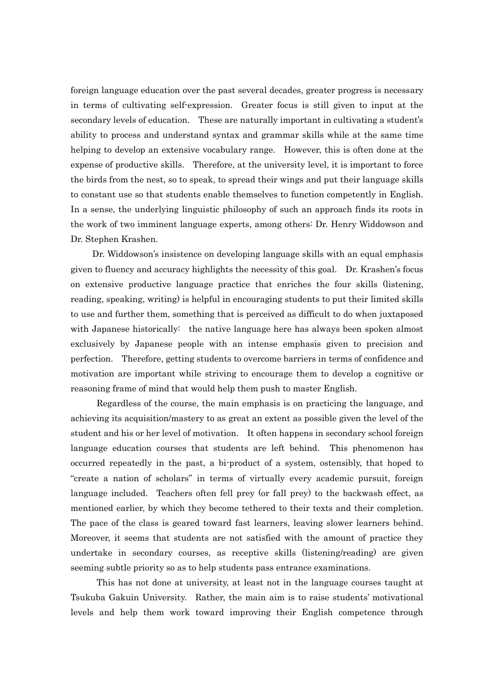foreign language education over the past several decades, greater progress is necessary in terms of cultivating self-expression. Greater focus is still given to input at the secondary levels of education. These are naturally important in cultivating a student's ability to process and understand syntax and grammar skills while at the same time helping to develop an extensive vocabulary range. However, this is often done at the expense of productive skills. Therefore, at the university level, it is important to force the birds from the nest, so to speak, to spread their wings and put their language skills to constant use so that students enable themselves to function competently in English. In a sense, the underlying linguistic philosophy of such an approach finds its roots in the work of two imminent language experts, among others: Dr. Henry Widdowson and Dr. Stephen Krashen.

Dr. Widdowson's insistence on developing language skills with an equal emphasis given to fluency and accuracy highlights the necessity of this goal. Dr. Krashen's focus on extensive productive language practice that enriches the four skills (listening, reading, speaking, writing) is helpful in encouraging students to put their limited skills to use and further them, something that is perceived as difficult to do when juxtaposed with Japanese historically: the native language here has always been spoken almost exclusively by Japanese people with an intense emphasis given to precision and perfection. Therefore, getting students to overcome barriers in terms of confidence and motivation are important while striving to encourage them to develop a cognitive or reasoning frame of mind that would help them push to master English.

 Regardless of the course, the main emphasis is on practicing the language, and achieving its acquisition/mastery to as great an extent as possible given the level of the student and his or her level of motivation. It often happens in secondary school foreign language education courses that students are left behind. This phenomenon has occurred repeatedly in the past, a bi-product of a system, ostensibly, that hoped to "create a nation of scholars" in terms of virtually every academic pursuit, foreign language included. Teachers often fell prey (or fall prey) to the backwash effect, as mentioned earlier, by which they become tethered to their texts and their completion. The pace of the class is geared toward fast learners, leaving slower learners behind. Moreover, it seems that students are not satisfied with the amount of practice they undertake in secondary courses, as receptive skills (listening/reading) are given seeming subtle priority so as to help students pass entrance examinations.

 This has not done at university, at least not in the language courses taught at Tsukuba Gakuin University. Rather, the main aim is to raise students' motivational levels and help them work toward improving their English competence through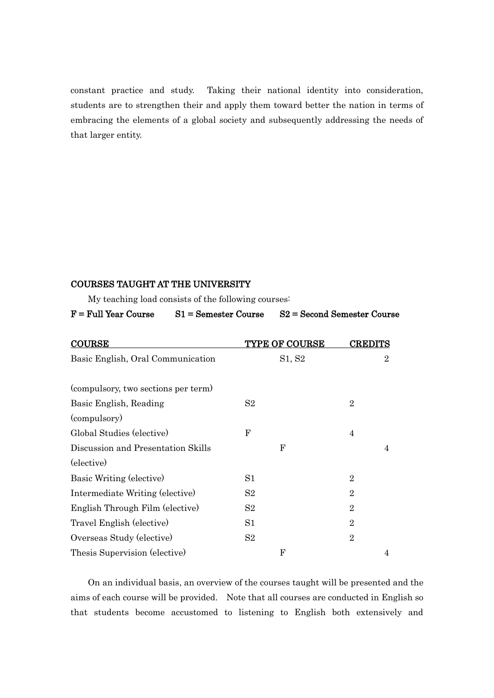constant practice and study. Taking their national identity into consideration, students are to strengthen their and apply them toward better the nation in terms of embracing the elements of a global society and subsequently addressing the needs of that larger entity.

#### COURSES TAUGHT AT THE UNIVERSITY

My teaching load consists of the following courses:

| $\mathbf{F}$ = Full Year Course | $S1 =$ Semester Course | $S2 = Second$ Semester Course |
|---------------------------------|------------------------|-------------------------------|
|                                 |                        |                               |

| <b>COURSE</b>                       | <b>TYPE OF COURSE</b> | <b>CREDITS</b> |
|-------------------------------------|-----------------------|----------------|
| Basic English, Oral Communication   | S1, S2                | $\overline{2}$ |
|                                     |                       |                |
| (compulsory, two sections per term) |                       |                |
| Basic English, Reading              | S <sub>2</sub>        | $\overline{2}$ |
| (compulsory)                        |                       |                |
| Global Studies (elective)           | $_{\rm F}$            | 4              |
| Discussion and Presentation Skills  | $\mathbf F$           | 4              |
| (elective)                          |                       |                |
| Basic Writing (elective)            | S1                    | $\overline{2}$ |
| Intermediate Writing (elective)     | S <sub>2</sub>        | $\overline{2}$ |
| English Through Film (elective)     | $S_{2}$               | $\overline{2}$ |
| Travel English (elective)           | S <sub>1</sub>        | $\overline{2}$ |
| Overseas Study (elective)           | S <sub>2</sub>        | $\overline{2}$ |
| Thesis Supervision (elective)       | $\mathbf F$           | 4              |

 On an individual basis, an overview of the courses taught will be presented and the aims of each course will be provided. Note that all courses are conducted in English so that students become accustomed to listening to English both extensively and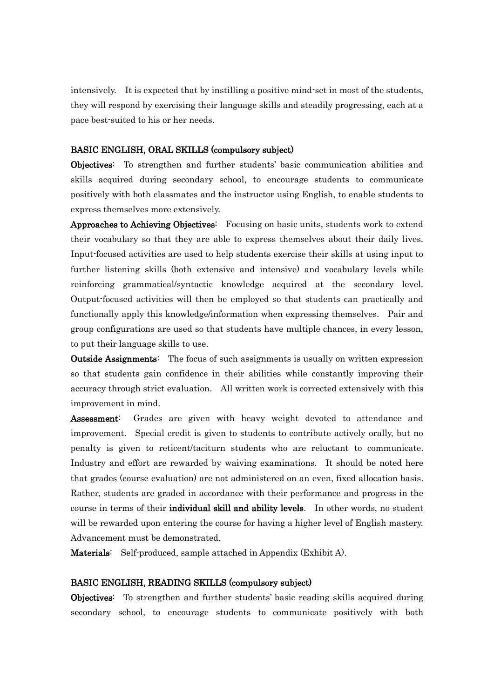intensively. It is expected that by instilling a positive mind-set in most of the students, they will respond by exercising their language skills and steadily progressing, each at a pace best-suited to his or her needs.

#### BASIC ENGLISH, ORAL SKILLS (compulsory subject)

Objectives: To strengthen and further students' basic communication abilities and skills acquired during secondary school, to encourage students to communicate positively with both classmates and the instructor using English, to enable students to express themselves more extensively.

Approaches to Achieving Objectives: Focusing on basic units, students work to extend their vocabulary so that they are able to express themselves about their daily lives. Input-focused activities are used to help students exercise their skills at using input to further listening skills (both extensive and intensive) and vocabulary levels while reinforcing grammatical/syntactic knowledge acquired at the secondary level. Output-focused activities will then be employed so that students can practically and functionally apply this knowledge/information when expressing themselves. Pair and group configurations are used so that students have multiple chances, in every lesson, to put their language skills to use.

**Outside Assignments:** The focus of such assignments is usually on written expression so that students gain confidence in their abilities while constantly improving their accuracy through strict evaluation. All written work is corrected extensively with this improvement in mind.

Assessment: Grades are given with heavy weight devoted to attendance and improvement. Special credit is given to students to contribute actively orally, but no penalty is given to reticent/taciturn students who are reluctant to communicate. Industry and effort are rewarded by waiving examinations. It should be noted here that grades (course evaluation) are not administered on an even, fixed allocation basis. Rather, students are graded in accordance with their performance and progress in the course in terms of their individual skill and ability levels. In other words, no student will be rewarded upon entering the course for having a higher level of English mastery. Advancement must be demonstrated.

Materials: Self-produced, sample attached in Appendix (Exhibit A).

#### BASIC ENGLISH, READING SKILLS (compulsory subject)

Objectives: To strengthen and further students' basic reading skills acquired during secondary school, to encourage students to communicate positively with both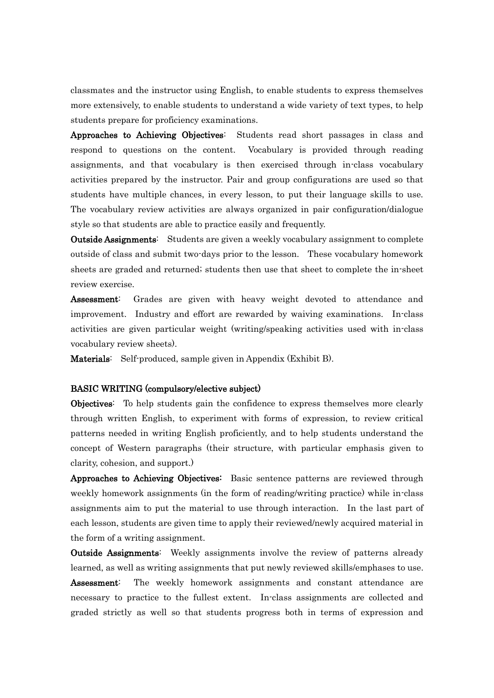classmates and the instructor using English, to enable students to express themselves more extensively, to enable students to understand a wide variety of text types, to help students prepare for proficiency examinations.

Approaches to Achieving Objectives: Students read short passages in class and respond to questions on the content. Vocabulary is provided through reading assignments, and that vocabulary is then exercised through in-class vocabulary activities prepared by the instructor. Pair and group configurations are used so that students have multiple chances, in every lesson, to put their language skills to use. The vocabulary review activities are always organized in pair configuration/dialogue style so that students are able to practice easily and frequently.

Outside Assignments: Students are given a weekly vocabulary assignment to complete outside of class and submit two-days prior to the lesson. These vocabulary homework sheets are graded and returned; students then use that sheet to complete the in-sheet review exercise.

Assessment: Grades are given with heavy weight devoted to attendance and improvement. Industry and effort are rewarded by waiving examinations. In-class activities are given particular weight (writing/speaking activities used with in-class vocabulary review sheets).

Materials: Self-produced, sample given in Appendix (Exhibit B).

#### BASIC WRITING (compulsory/elective subject)

Objectives: To help students gain the confidence to express themselves more clearly through written English, to experiment with forms of expression, to review critical patterns needed in writing English proficiently, and to help students understand the concept of Western paragraphs (their structure, with particular emphasis given to clarity, cohesion, and support.)

Approaches to Achieving Objectives: Basic sentence patterns are reviewed through weekly homework assignments (in the form of reading/writing practice) while in-class assignments aim to put the material to use through interaction. In the last part of each lesson, students are given time to apply their reviewed/newly acquired material in the form of a writing assignment.

Outside Assignments: Weekly assignments involve the review of patterns already learned, as well as writing assignments that put newly reviewed skills/emphases to use. Assessment: The weekly homework assignments and constant attendance are necessary to practice to the fullest extent. In-class assignments are collected and graded strictly as well so that students progress both in terms of expression and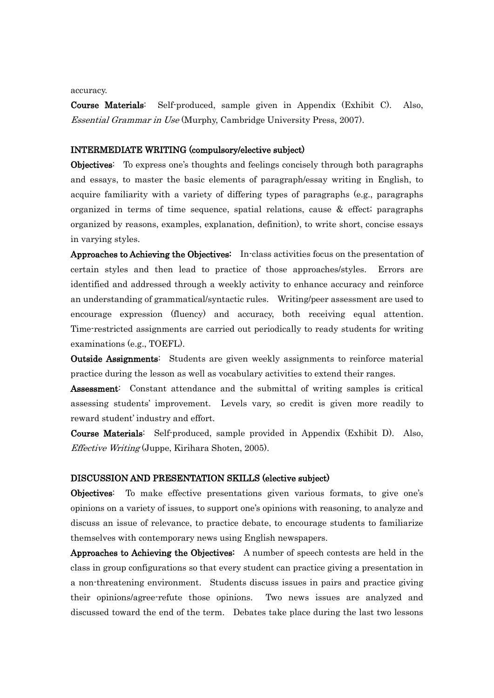accuracy.

Course Materials: Self-produced, sample given in Appendix (Exhibit C). Also, Essential Grammar in Use (Murphy, Cambridge University Press, 2007).

#### INTERMEDIATE WRITING (compulsory/elective subject)

Objectives: To express one's thoughts and feelings concisely through both paragraphs and essays, to master the basic elements of paragraph/essay writing in English, to acquire familiarity with a variety of differing types of paragraphs (e.g., paragraphs organized in terms of time sequence, spatial relations, cause & effect; paragraphs organized by reasons, examples, explanation, definition), to write short, concise essays in varying styles.

Approaches to Achieving the Objectives: In-class activities focus on the presentation of certain styles and then lead to practice of those approaches/styles. Errors are identified and addressed through a weekly activity to enhance accuracy and reinforce an understanding of grammatical/syntactic rules. Writing/peer assessment are used to encourage expression (fluency) and accuracy, both receiving equal attention. Time-restricted assignments are carried out periodically to ready students for writing examinations (e.g., TOEFL).

**Outside Assignments:** Students are given weekly assignments to reinforce material practice during the lesson as well as vocabulary activities to extend their ranges.

Assessment: Constant attendance and the submittal of writing samples is critical assessing students' improvement. Levels vary, so credit is given more readily to reward student' industry and effort.

Course Materials: Self-produced, sample provided in Appendix (Exhibit D). Also, Effective Writing (Juppe, Kirihara Shoten, 2005).

#### DISCUSSION AND PRESENTATION SKILLS (elective subject)

Objectives: To make effective presentations given various formats, to give one's opinions on a variety of issues, to support one's opinions with reasoning, to analyze and discuss an issue of relevance, to practice debate, to encourage students to familiarize themselves with contemporary news using English newspapers.

Approaches to Achieving the Objectives: A number of speech contests are held in the class in group configurations so that every student can practice giving a presentation in a non-threatening environment. Students discuss issues in pairs and practice giving their opinions/agree-refute those opinions. Two news issues are analyzed and discussed toward the end of the term. Debates take place during the last two lessons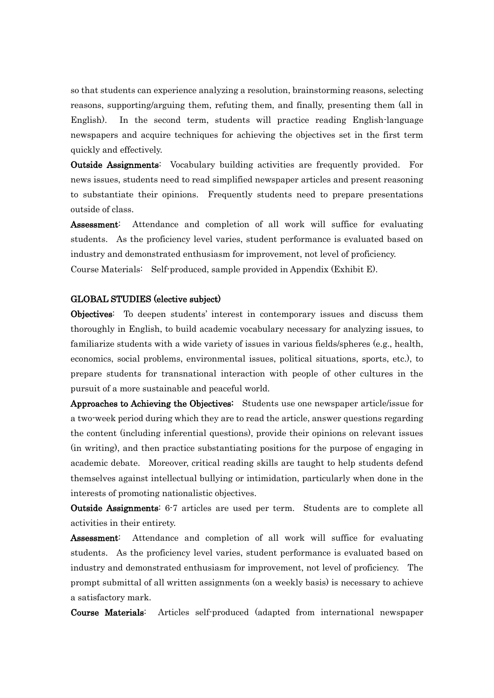so that students can experience analyzing a resolution, brainstorming reasons, selecting reasons, supporting/arguing them, refuting them, and finally, presenting them (all in English). In the second term, students will practice reading English-language newspapers and acquire techniques for achieving the objectives set in the first term quickly and effectively.

**Outside Assignments:** Vocabulary building activities are frequently provided. For news issues, students need to read simplified newspaper articles and present reasoning to substantiate their opinions. Frequently students need to prepare presentations outside of class.

Assessment: Attendance and completion of all work will suffice for evaluating students. As the proficiency level varies, student performance is evaluated based on industry and demonstrated enthusiasm for improvement, not level of proficiency. Course Materials: Self-produced, sample provided in Appendix (Exhibit E).

#### GLOBAL STUDIES (elective subject)

Objectives: To deepen students' interest in contemporary issues and discuss them thoroughly in English, to build academic vocabulary necessary for analyzing issues, to familiarize students with a wide variety of issues in various fields/spheres (e.g., health, economics, social problems, environmental issues, political situations, sports, etc.), to prepare students for transnational interaction with people of other cultures in the pursuit of a more sustainable and peaceful world.

Approaches to Achieving the Objectives: Students use one newspaper article/issue for a two-week period during which they are to read the article, answer questions regarding the content (including inferential questions), provide their opinions on relevant issues (in writing), and then practice substantiating positions for the purpose of engaging in academic debate. Moreover, critical reading skills are taught to help students defend themselves against intellectual bullying or intimidation, particularly when done in the interests of promoting nationalistic objectives.

Outside Assignments: 6-7 articles are used per term. Students are to complete all activities in their entirety.

Assessment: Attendance and completion of all work will suffice for evaluating students. As the proficiency level varies, student performance is evaluated based on industry and demonstrated enthusiasm for improvement, not level of proficiency. The prompt submittal of all written assignments (on a weekly basis) is necessary to achieve a satisfactory mark.

Course Materials: Articles self-produced (adapted from international newspaper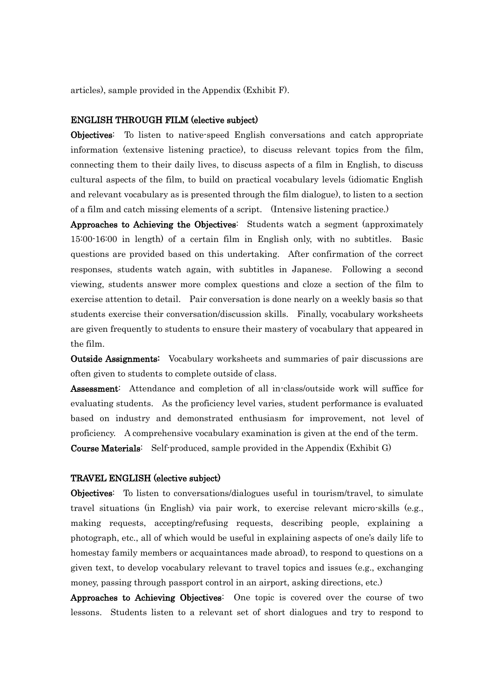articles), sample provided in the Appendix (Exhibit F).

#### ENGLISH THROUGH FILM (elective subject)

Objectives: To listen to native-speed English conversations and catch appropriate information (extensive listening practice), to discuss relevant topics from the film, connecting them to their daily lives, to discuss aspects of a film in English, to discuss cultural aspects of the film, to build on practical vocabulary levels (idiomatic English and relevant vocabulary as is presented through the film dialogue), to listen to a section of a film and catch missing elements of a script. (Intensive listening practice.)

Approaches to Achieving the Objectives: Students watch a segment (approximately 15:00-16:00 in length) of a certain film in English only, with no subtitles. Basic questions are provided based on this undertaking. After confirmation of the correct responses, students watch again, with subtitles in Japanese. Following a second viewing, students answer more complex questions and cloze a section of the film to exercise attention to detail. Pair conversation is done nearly on a weekly basis so that students exercise their conversation/discussion skills. Finally, vocabulary worksheets are given frequently to students to ensure their mastery of vocabulary that appeared in the film.

Outside Assignments: Vocabulary worksheets and summaries of pair discussions are often given to students to complete outside of class.

Assessment: Attendance and completion of all in-class/outside work will suffice for evaluating students. As the proficiency level varies, student performance is evaluated based on industry and demonstrated enthusiasm for improvement, not level of proficiency. A comprehensive vocabulary examination is given at the end of the term. Course Materials: Self-produced, sample provided in the Appendix (Exhibit G)

#### TRAVEL ENGLISH (elective subject)

Objectives: To listen to conversations/dialogues useful in tourism/travel, to simulate travel situations (in English) via pair work, to exercise relevant micro-skills (e.g., making requests, accepting/refusing requests, describing people, explaining a photograph, etc., all of which would be useful in explaining aspects of one's daily life to homestay family members or acquaintances made abroad), to respond to questions on a given text, to develop vocabulary relevant to travel topics and issues (e.g., exchanging money, passing through passport control in an airport, asking directions, etc.)

Approaches to Achieving Objectives: One topic is covered over the course of two lessons. Students listen to a relevant set of short dialogues and try to respond to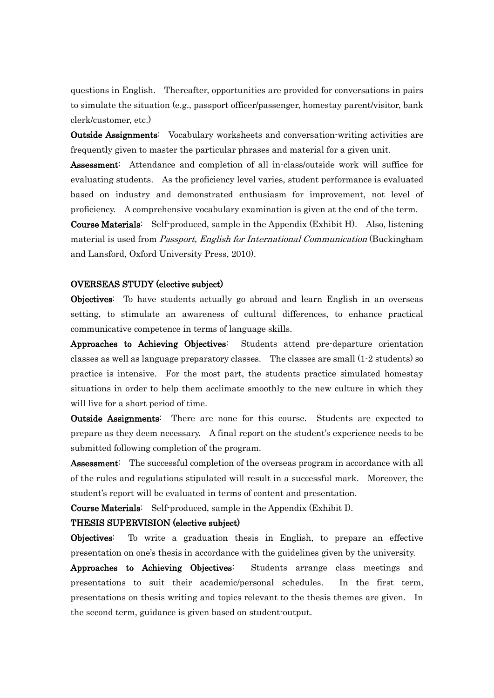questions in English. Thereafter, opportunities are provided for conversations in pairs to simulate the situation (e.g., passport officer/passenger, homestay parent/visitor, bank clerk/customer, etc.)

Outside Assignments: Vocabulary worksheets and conversation-writing activities are frequently given to master the particular phrases and material for a given unit.

Assessment: Attendance and completion of all in-class/outside work will suffice for evaluating students. As the proficiency level varies, student performance is evaluated based on industry and demonstrated enthusiasm for improvement, not level of proficiency. A comprehensive vocabulary examination is given at the end of the term.

Course Materials: Self-produced, sample in the Appendix (Exhibit H). Also, listening material is used from *Passport, English for International Communication* (Buckingham and Lansford, Oxford University Press, 2010).

#### OVERSEAS STUDY (elective subject)

Objectives: To have students actually go abroad and learn English in an overseas setting, to stimulate an awareness of cultural differences, to enhance practical communicative competence in terms of language skills.

Approaches to Achieving Objectives: Students attend pre-departure orientation classes as well as language preparatory classes. The classes are small (1-2 students) so practice is intensive. For the most part, the students practice simulated homestay situations in order to help them acclimate smoothly to the new culture in which they will live for a short period of time.

Outside Assignments: There are none for this course. Students are expected to prepare as they deem necessary. A final report on the student's experience needs to be submitted following completion of the program.

Assessment: The successful completion of the overseas program in accordance with all of the rules and regulations stipulated will result in a successful mark. Moreover, the student's report will be evaluated in terms of content and presentation.

Course Materials: Self-produced, sample in the Appendix (Exhibit I).

#### THESIS SUPERVISION (elective subject)

Objectives: To write a graduation thesis in English, to prepare an effective presentation on one's thesis in accordance with the guidelines given by the university.

Approaches to Achieving Objectives: Students arrange class meetings and presentations to suit their academic/personal schedules. In the first term, presentations on thesis writing and topics relevant to the thesis themes are given. In the second term, guidance is given based on student-output.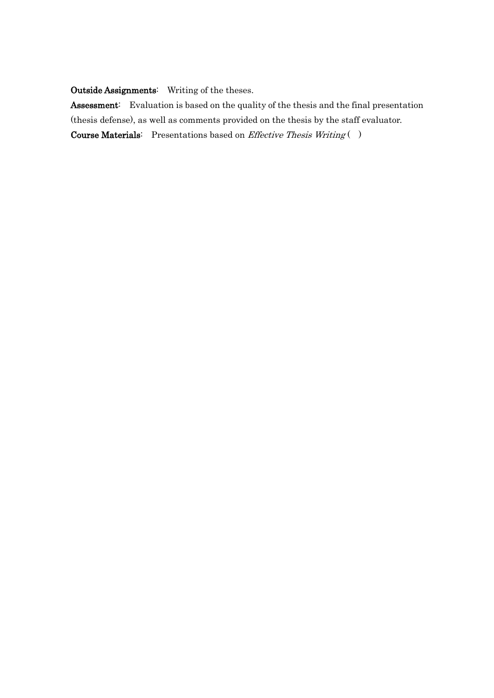## Outside Assignments: Writing of the theses.

Assessment: Evaluation is based on the quality of the thesis and the final presentation (thesis defense), as well as comments provided on the thesis by the staff evaluator. Course Materials: Presentations based on Effective Thesis Writing ( )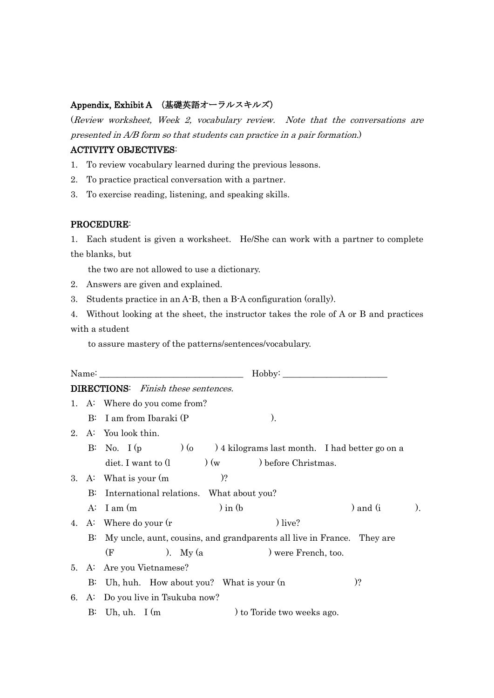#### Appendix, Exhibit A (基礎英語オーラルスキルズ)

(Review worksheet, Week 2, vocabulary review. Note that the conversations are presented in A/B form so that students can practice in a pair formation.)

## ACTIVITY OBJECTIVES:

- 1. To review vocabulary learned during the previous lessons.
- 2. To practice practical conversation with a partner.
- 3. To exercise reading, listening, and speaking skills.

#### PROCEDURE:

1. Each student is given a worksheet. He/She can work with a partner to complete the blanks, but

the two are not allowed to use a dictionary.

- 2. Answers are given and explained.
- 3. Students practice in an A-B, then a B-A configuration (orally).

4. Without looking at the sheet, the instructor takes the role of A or B and practices with a student

to assure mastery of the patterns/sentences/vocabulary.

|    |          | <b>DIRECTIONS:</b> Finish these sentences.                             |
|----|----------|------------------------------------------------------------------------|
|    |          | 1. A: Where do you come from?                                          |
|    |          | B: I am from Ibaraki (P<br>).                                          |
|    |          | 2. A: You look thin.                                                   |
|    |          | B: No. I (p $(0)$ ) 4 kilograms last month. I had better go on a       |
|    |          | diet. I want to $(1 \t\t\t)$ $(w \t\t)$ before Christmas.              |
|    |          | $)$ ?<br>3. A: What is your $(m)$                                      |
|    | $\rm B:$ | International relations. What about you?                               |
|    |          | $\ln$ (b)<br>A: I am (m)<br>) and $(i$<br>).                           |
|    |          | $)$ live?<br>4. A: Where do your $(r$                                  |
|    | $\rm B:$ | My uncle, aunt, cousins, and grandparents all live in France. They are |
|    |          | (F)<br>). My $(a$<br>) were French, too.                               |
|    |          | 5. A: Are you Vietnamese?                                              |
|    |          | $)$ ?<br>B: Uh, huh. How about you? What is your (n                    |
| 6. |          | A: Do you live in Tsukuba now?                                         |
|    |          | $B$ : Uh, uh. I (m<br>) to Toride two weeks ago.                       |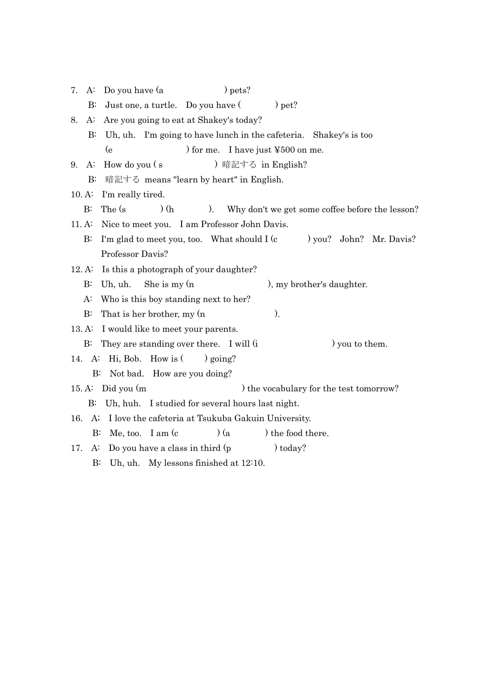| Do you have (a<br>$)$ pets?<br>7.<br>A:                                             |
|-------------------------------------------------------------------------------------|
| Just one, a turtle. Do you have (<br>) pet?<br>$\rm B$                              |
| Are you going to eat at Shakey's today?<br>A:<br>8.                                 |
| Uh, uh. I'm going to have lunch in the cafeteria. Shakey's is too<br>$\mathbf{B}$ : |
| (e)<br>) for me. I have just $\text{\textsterling}500$ on me.                       |
| How do you (s)<br>) 暗記する in English?<br>A:<br>9.                                    |
| $B$ :<br>暗記する means "learn by heart" in English.                                    |
| 10.A<br>I'm really tired.                                                           |
| The (s)<br>(h)<br>$B$ :<br>).<br>Why don't we get some coffee before the lesson?    |
| Nice to meet you. I am Professor John Davis.<br>11.A                                |
| I'm glad to meet you, too. What should I (c)<br>) you? John? Mr. Davis?<br>$B$ :    |
| Professor Davis?                                                                    |
| Is this a photograph of your daughter?<br>12. A:                                    |
| She is my $(n)$<br>), my brother's daughter.<br>$\rm B$<br>Uh, uh.                  |
| $A$ :<br>Who is this boy standing next to her?                                      |
| That is her brother, my (n<br>).<br>$B$ :                                           |
| 13.A<br>I would like to meet your parents.                                          |
| They are standing over there. I will (i)<br>) you to them.<br>$\rm B$ :             |
| 14. A: Hi, Bob. How is $($<br>) going?                                              |
| Not bad. How are you doing?<br>$\rm B$ :                                            |
| ) the vocabulary for the test tomorrow?<br>15. A: Did you $(m)$                     |
| Uh, huh. I studied for several hours last night.<br>$B$ :                           |
| I love the cafeteria at Tsukuba Gakuin University.<br>16.<br>A;                     |
| (a)<br>) the food there.<br>Me, too. I am $(c)$<br>B:                               |
| Do you have a class in third (p<br>$)$ today?<br>17.<br>A:                          |
| Uh, uh. My lessons finished at 12:10.<br>$\rm B$ :                                  |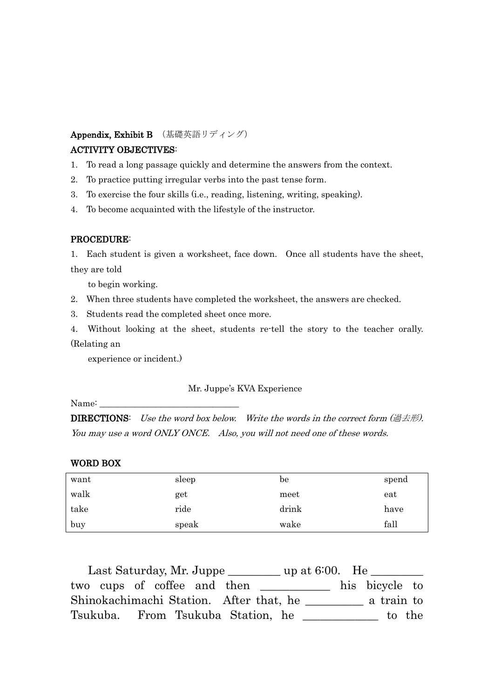## Appendix, Exhibit B (基礎英語リディング)

## ACTIVITY OBJECTIVES:

- 1. To read a long passage quickly and determine the answers from the context.
- 2. To practice putting irregular verbs into the past tense form.
- 3. To exercise the four skills (i.e., reading, listening, writing, speaking).
- 4. To become acquainted with the lifestyle of the instructor.

## PROCEDURE:

1. Each student is given a worksheet, face down. Once all students have the sheet, they are told

to begin working.

- 2. When three students have completed the worksheet, the answers are checked.
- 3. Students read the completed sheet once more.
- 4. Without looking at the sheet, students re-tell the story to the teacher orally. (Relating an

experience or incident.)

## Mr. Juppe's KVA Experience

Name:

**DIRECTIONS:** Use the word box below. Write the words in the correct form  $(\# \pm \#)$ . You may use a word ONLY ONCE. Also, you will not need one of these words.

#### WORD BOX

| want | sleep | be    | spend |
|------|-------|-------|-------|
| walk | get   | meet  | eat   |
| take | ride  | drink | have  |
| buy  | speak | wake  | fall  |

Last Saturday, Mr. Juppe \_\_\_\_\_\_\_\_ up at 6:00. He \_\_\_\_\_\_\_ two cups of coffee and then his bicycle to Shinokachimachi Station. After that, he \_\_\_\_\_\_\_\_\_\_ a train to Tsukuba. From Tsukuba Station, he \_\_\_\_\_\_\_\_\_\_\_\_\_ to the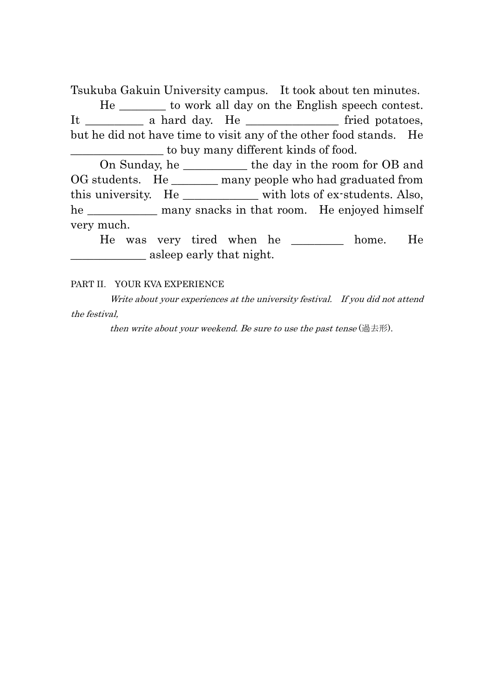Tsukuba Gakuin University campus. It took about ten minutes.

 He \_\_\_\_\_\_\_\_ to work all day on the English speech contest. It \_\_\_\_\_\_\_\_\_\_\_\_ a hard day. He \_\_\_\_\_\_\_\_\_\_\_\_\_\_\_\_\_\_\_\_\_\_\_\_ fried potatoes, but he did not have time to visit any of the other food stands. He \_\_\_\_\_\_\_\_\_\_\_\_\_\_\_\_ to buy many different kinds of food.

 On Sunday, he \_\_\_\_\_\_\_\_\_\_\_ the day in the room for OB and OG students. He \_\_\_\_\_\_\_ many people who had graduated from this university. He \_\_\_\_\_\_\_\_\_\_\_\_\_ with lots of ex-students. Also, he \_\_\_\_\_\_\_\_\_\_\_\_\_ many snacks in that room. He enjoyed himself very much.

 He was very tired when he \_\_\_\_\_\_\_\_\_ home. He **Example 2** as lease pearly that night.

#### PART II. YOUR KVA EXPERIENCE

 Write about your experiences at the university festival. If you did not attend the festival,

then write about your weekend. Be sure to use the past tense  $(\mathbb{H} \pm \mathbb{H})$ .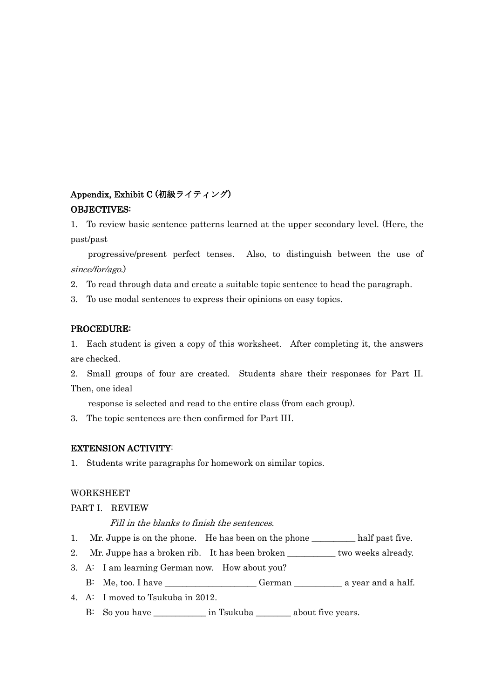## Appendix, Exhibit C (初級ライティング) OBJECTIVES:

1. To review basic sentence patterns learned at the upper secondary level. (Here, the past/past

progressive/present perfect tenses. Also, to distinguish between the use of since/for/ago.)

2. To read through data and create a suitable topic sentence to head the paragraph.

3. To use modal sentences to express their opinions on easy topics.

#### PROCEDURE:

1. Each student is given a copy of this worksheet. After completing it, the answers are checked.

2. Small groups of four are created. Students share their responses for Part II. Then, one ideal

response is selected and read to the entire class (from each group).

3. The topic sentences are then confirmed for Part III.

#### EXTENSION ACTIVITY:

1. Students write paragraphs for homework on similar topics.

#### WORKSHEET

PART I. REVIEW

Fill in the blanks to finish the sentences.

- 1. Mr. Juppe is on the phone. He has been on the phone \_\_\_\_\_\_\_\_\_\_ half past five.
- 2. Mr. Juppe has a broken rib. It has been broken \_\_\_\_\_\_\_\_\_\_\_ two weeks already.
- 3. A: I am learning German now. How about you?
	- B: Me, too. I have \_\_\_\_\_\_\_\_\_\_\_\_\_\_\_\_\_\_\_\_\_ German \_\_\_\_\_\_\_\_\_\_\_ a year and a half.
- 4. A: I moved to Tsukuba in 2012.
	- B: So you have \_\_\_\_\_\_\_\_\_\_\_\_\_\_ in Tsukuba \_\_\_\_\_\_\_\_\_\_ about five years.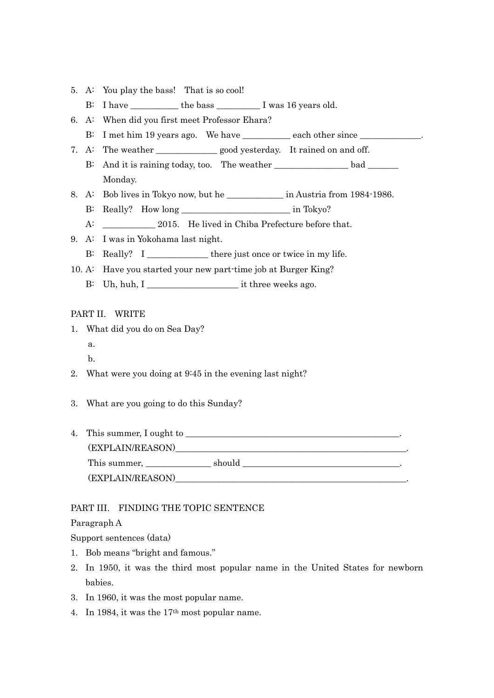- 5. A: You play the bass! That is so cool!
	- B: I have the bass I was 16 years old.
- 6. A: When did you first meet Professor Ehara?
	- B: I met him 19 years ago. We have \_\_\_\_\_\_\_\_\_\_\_ each other since \_\_\_\_\_\_\_\_\_\_\_\_\_.
- 7. A: The weather good yesterday. It rained on and off.
	- B: And it is raining today, too. The weather bad bad bad Monday.
- 8. A: Bob lives in Tokyo now, but he \_\_\_\_\_\_\_\_\_\_\_\_\_\_\_ in Austria from 1984-1986.
	- B: Really? How long \_\_\_\_\_\_\_\_\_\_\_\_\_\_\_\_\_\_\_\_\_\_\_\_\_ in Tokyo?
	- A: 2015. He lived in Chiba Prefecture before that.
- 9. A: I was in Yokohama last night.
	- B: Really? I \_\_\_\_\_\_\_\_\_\_\_\_\_\_ there just once or twice in my life.
- 10. A: Have you started your new part-time job at Burger King?
	- B: Uh, huh, I \_\_\_\_\_\_\_\_\_\_\_\_\_\_\_\_\_\_\_\_\_ it three weeks ago.

#### PART II. WRITE

- 1. What did you do on Sea Day? a.
	- b.
- 2. What were you doing at 9:45 in the evening last night?
- 3. What are you going to do this Sunday?
- 4. This summer, I ought to \_\_\_\_\_\_\_\_\_\_\_\_\_\_\_\_\_\_\_\_\_\_\_\_\_\_\_\_\_\_\_\_\_\_\_\_\_\_\_\_\_\_\_\_\_\_\_\_\_. (EXPLAIN/REASON)\_\_\_\_\_\_\_\_\_\_\_\_\_\_\_\_\_\_\_\_\_\_\_\_\_\_\_\_\_\_\_\_\_\_\_\_\_\_\_\_\_\_\_\_\_\_\_\_\_\_\_\_\_. This summer, \_\_\_\_\_\_\_\_\_\_\_\_\_\_\_ should \_\_\_\_\_\_\_\_\_\_\_\_\_\_\_\_\_\_\_\_\_\_\_\_\_\_\_\_\_\_\_\_\_\_\_\_. (EXPLAIN/REASON)

#### PART III. FINDING THE TOPIC SENTENCE

#### Paragraph A

Support sentences (data)

- 1. Bob means "bright and famous."
- 2. In 1950, it was the third most popular name in the United States for newborn babies.
- 3. In 1960, it was the most popular name.
- 4. In 1984, it was the 17th most popular name.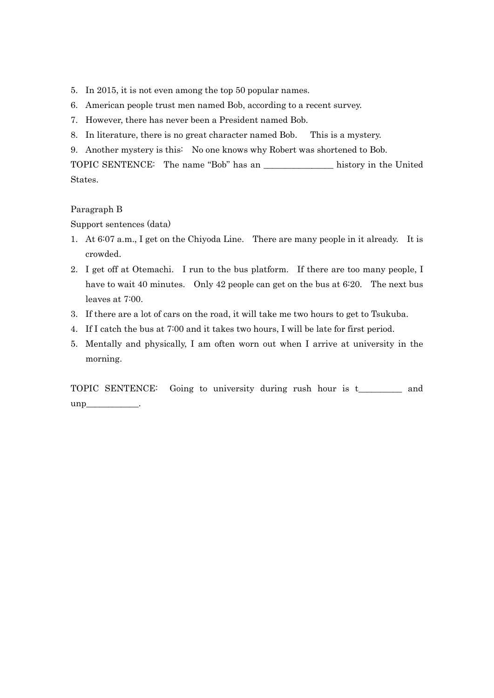- 5. In 2015, it is not even among the top 50 popular names.
- 6. American people trust men named Bob, according to a recent survey.
- 7. However, there has never been a President named Bob.
- 8. In literature, there is no great character named Bob. This is a mystery.
- 9. Another mystery is this: No one knows why Robert was shortened to Bob.

TOPIC SENTENCE: The name "Bob" has an \_\_\_\_\_\_\_\_\_\_\_\_\_\_\_\_ history in the United States.

#### Paragraph B

Support sentences (data)

- 1. At 6:07 a.m., I get on the Chiyoda Line. There are many people in it already. It is crowded.
- 2. I get off at Otemachi. I run to the bus platform. If there are too many people, I have to wait 40 minutes. Only 42 people can get on the bus at 6:20. The next bus leaves at 7:00.
- 3. If there are a lot of cars on the road, it will take me two hours to get to Tsukuba.
- 4. If I catch the bus at 7:00 and it takes two hours, I will be late for first period.
- 5. Mentally and physically, I am often worn out when I arrive at university in the morning.

TOPIC SENTENCE: Going to university during rush hour is t\_\_\_\_\_\_\_\_\_\_ and unp\_\_\_\_\_\_\_\_\_\_\_\_.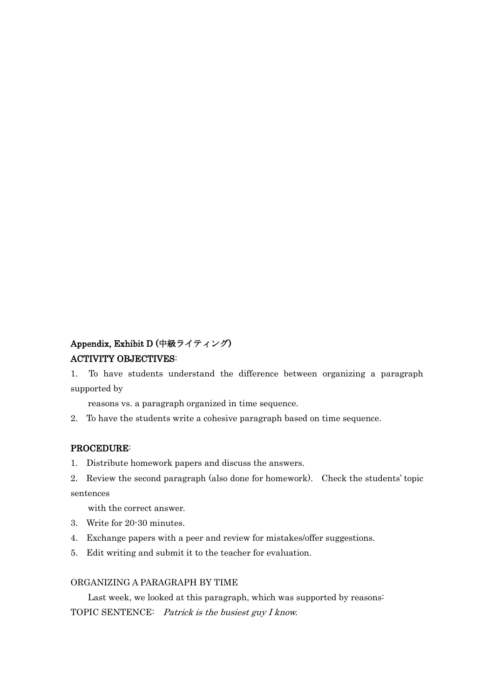## Appendix, Exhibit D (中級ライティング) ACTIVITY OBJECTIVES:

1. To have students understand the difference between organizing a paragraph supported by

reasons vs. a paragraph organized in time sequence.

2. To have the students write a cohesive paragraph based on time sequence.

#### PROCEDURE:

- 1. Distribute homework papers and discuss the answers.
- 2. Review the second paragraph (also done for homework). Check the students' topic sentences

with the correct answer.

- 3. Write for 20-30 minutes.
- 4. Exchange papers with a peer and review for mistakes/offer suggestions.
- 5. Edit writing and submit it to the teacher for evaluation.

#### ORGANIZING A PARAGRAPH BY TIME

Last week, we looked at this paragraph, which was supported by reasons: TOPIC SENTENCE: Patrick is the busiest guy I know.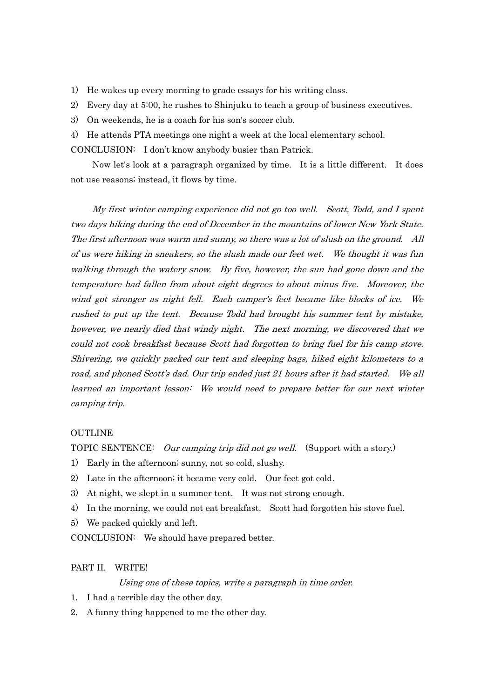- 1) He wakes up every morning to grade essays for his writing class.
- 2) Every day at 5:00, he rushes to Shinjuku to teach a group of business executives.
- 3) On weekends, he is a coach for his son's soccer club.
- 4) He attends PTA meetings one night a week at the local elementary school.

CONCLUSION: I don't know anybody busier than Patrick.

 Now let's look at a paragraph organized by time. It is a little different. It does not use reasons; instead, it flows by time.

 My first winter camping experience did not go too well. Scott, Todd, and I spent two days hiking during the end of December in the mountains of lower New York State. The first afternoon was warm and sunny, so there was a lot of slush on the ground. All of us were hiking in sneakers, so the slush made our feet wet. We thought it was fun walking through the watery snow. By five, however, the sun had gone down and the temperature had fallen from about eight degrees to about minus five. Moreover, the wind got stronger as night fell. Each camper's feet became like blocks of ice. We rushed to put up the tent. Because Todd had brought his summer tent by mistake, however, we nearly died that windy night. The next morning, we discovered that we could not cook breakfast because Scott had forgotten to bring fuel for his camp stove. Shivering, we quickly packed our tent and sleeping bags, hiked eight kilometers to a road, and phoned Scott's dad. Our trip ended just 21 hours after it had started. We all learned an important lesson: We would need to prepare better for our next winter camping trip.

#### **OUTLINE**

TOPIC SENTENCE: Our camping trip did not go well. (Support with a story.)

- 1) Early in the afternoon; sunny, not so cold, slushy.
- 2) Late in the afternoon; it became very cold. Our feet got cold.
- 3) At night, we slept in a summer tent. It was not strong enough.
- 4) In the morning, we could not eat breakfast. Scott had forgotten his stove fuel.
- 5) We packed quickly and left.
- CONCLUSION: We should have prepared better.

#### PART II. WRITE!

#### Using one of these topics, write a paragraph in time order.

- 1. I had a terrible day the other day.
- 2. A funny thing happened to me the other day.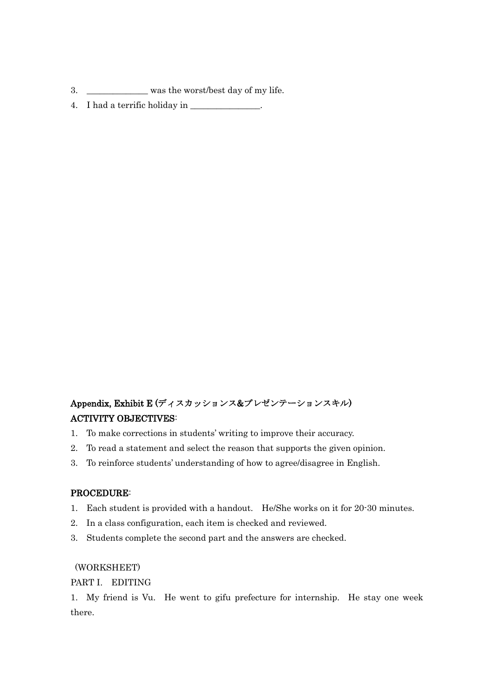- 3. \_\_\_\_\_\_\_\_\_\_\_\_\_ was the worst/best day of my life.
- 4. I had a terrific holiday in \_\_\_\_\_\_\_\_\_\_\_\_\_\_\_\_.

## Appendix, Exhibit E (ディスカッションス&プレゼンテーションスキル) ACTIVITY OBJECTIVES:

- 1. To make corrections in students' writing to improve their accuracy.
- 2. To read a statement and select the reason that supports the given opinion.
- 3. To reinforce students' understanding of how to agree/disagree in English.

#### PROCEDURE:

- 1. Each student is provided with a handout. He/She works on it for 20-30 minutes.
- 2. In a class configuration, each item is checked and reviewed.
- 3. Students complete the second part and the answers are checked.

#### (WORKSHEET)

#### PART I. EDITING

1. My friend is Vu. He went to gifu prefecture for internship. He stay one week there.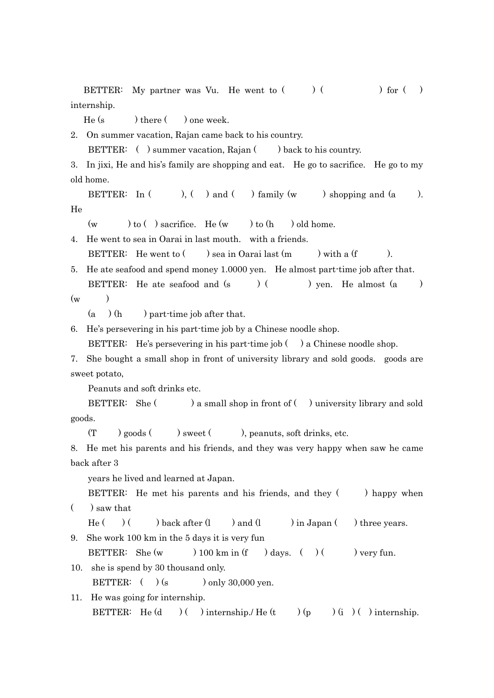BETTER: My partner was Vu. He went to  $($ )  $($ ) for  $($ ) internship.

He (s ) there ( ) one week.

2. On summer vacation, Rajan came back to his country.

BETTER: () summer vacation, Rajan () back to his country.

3. In jixi, He and his's family are shopping and eat. He go to sacrifice. He go to my old home.

BETTER: In  $($  ),  $($  ) and  $($  ) family  $(w$  ) shopping and  $(a$  ). He

 $(w \rightarrow t_0$  ( ) sacrifice. He  $(w \rightarrow t_0$  (h ) old home.

4. He went to sea in Oarai in last mouth. with a friends.

BETTER: He went to  $($  ) sea in Oarai last  $(m)$  with a  $(f)$ .

5. He ate seafood and spend money 1.0000 yen. He almost part-time job after that. BETTER: He ate seafood and  $(s \t)$  ( ) yen. He almost  $(a \t)$ 

 $(w \t)$ 

 $(a \cap (h)$  part-time job after that.

6. He's persevering in his part-time job by a Chinese noodle shop.

BETTER: He's persevering in his part-time job () a Chinese noodle shop.

7. She bought a small shop in front of university library and sold goods. goods are sweet potato,

Peanuts and soft drinks etc.

BETTER: She ( ) a small shop in front of ( ) university library and sold goods.

 $(T \t)$  goods  $($  ) sweet  $($  ), peanuts, soft drinks, etc.

8. He met his parents and his friends, and they was very happy when saw he came back after 3

years he lived and learned at Japan.

BETTER: He met his parents and his friends, and they () happy when  $\left( \quad \right)$  saw that

He  $($   $)$   $($   $)$  back after  $(l \t )$  and  $(l \t )$  in Japan  $($   $)$  three years.

9. She work 100 km in the 5 days it is very fun

BETTER: She  $(w \t) 100 \text{ km in (f \t)} days.$  ( )  $($  ) very fun.

10. she is spend by 30 thousand only.

BETTER:  $( )$  (s ) only 30,000 yen.

```
11. He was going for internship. 
BETTER: He (d \t) ( ) internship. He (t \t) (p ) (i) ( ) internship.
```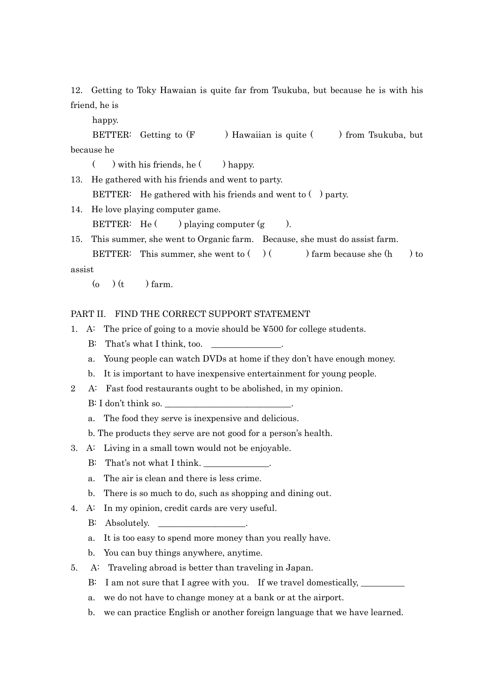12. Getting to Toky Hawaian is quite far from Tsukuba, but because he is with his friend, he is

happy.

BETTER: Getting to (F ) Hawaiian is quite ( ) from Tsukuba, but because he

- $(\ )$  with his friends, he  $(\ )$  happy.
- 13. He gathered with his friends and went to party. BETTER: He gathered with his friends and went to () party.
- 14. He love playing computer game.

BETTER: He  $($  ) playing computer  $(g \t)$ .

15. This summer, she went to Organic farm. Because, she must do assist farm. BETTER: This summer, she went to  $( \ )$   $( \ )$  farm because she  $(h \ )$  to

assist

 $(o)$   $(t)$  farm.

#### PART II. FIND THE CORRECT SUPPORT STATEMENT

- 1. A: The price of going to a movie should be ¥500 for college students.
	- B: That's what I think, too.
	- a. Young people can watch DVDs at home if they don't have enough money.
	- b. It is important to have inexpensive entertainment for young people.
- 2 A: Fast food restaurants ought to be abolished, in my opinion.
	- B: I don't think so.
	- a. The food they serve is inexpensive and delicious.
	- b. The products they serve are not good for a person's health.
- 3. A: Living in a small town would not be enjoyable.
	- B: That's not what I think.
	- a. The air is clean and there is less crime.
	- b. There is so much to do, such as shopping and dining out.
- 4. A: In my opinion, credit cards are very useful.
	- B: Absolutely.
	- a. It is too easy to spend more money than you really have.
	- b. You can buy things anywhere, anytime.
- 5. A: Traveling abroad is better than traveling in Japan.
	- B: I am not sure that I agree with you. If we travel domestically,
	- a. we do not have to change money at a bank or at the airport.
	- b. we can practice English or another foreign language that we have learned.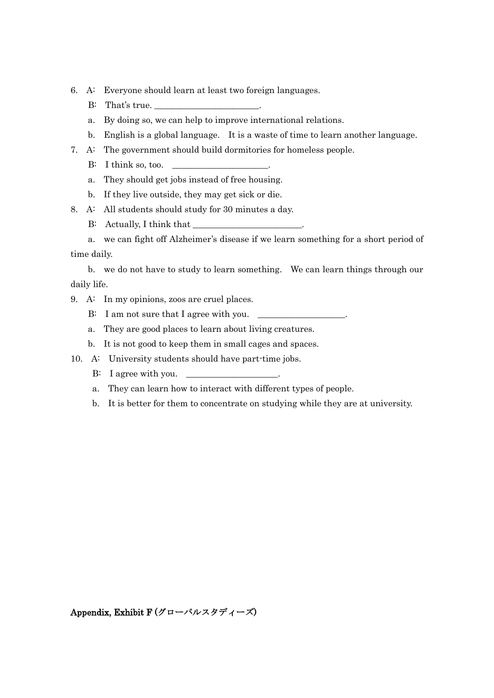- 6. A: Everyone should learn at least two foreign languages.
	- B: That's true.
	- a. By doing so, we can help to improve international relations.
	- b. English is a global language. It is a waste of time to learn another language.
- 7. A: The government should build dormitories for homeless people.
	- $\rm B: \quad I \text{ think so, too.}$
	- a. They should get jobs instead of free housing.
	- b. If they live outside, they may get sick or die.
- 8. A: All students should study for 30 minutes a day.
	- B: Actually, I think that \_\_\_\_\_\_\_\_\_\_\_\_\_\_\_\_\_\_\_\_\_\_\_\_\_.

 a. we can fight off Alzheimer's disease if we learn something for a short period of time daily.

 b. we do not have to study to learn something. We can learn things through our daily life.

- 9. A: In my opinions, zoos are cruel places.
	- B: I am not sure that I agree with you.
	- a. They are good places to learn about living creatures.
	- b. It is not good to keep them in small cages and spaces.
- 10. A: University students should have part-time jobs.
	- B: I agree with you.  $\qquad \qquad \_$
	- a. They can learn how to interact with different types of people.
	- b. It is better for them to concentrate on studying while they are at university.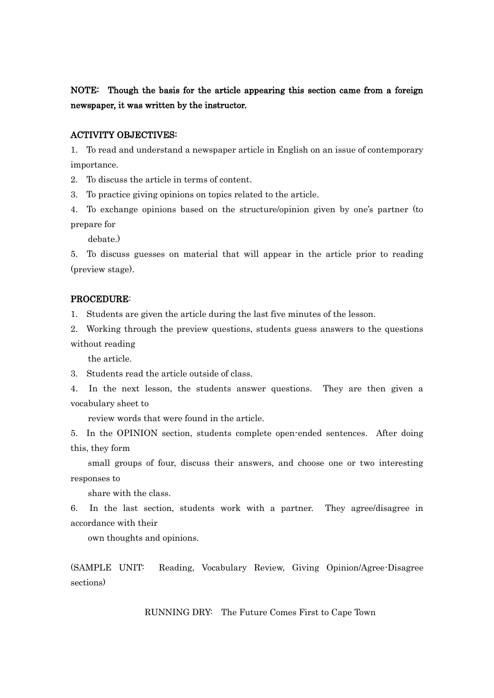NOTE: Though the basis for the article appearing this section came from a foreign newspaper, it was written by the instructor.

#### ACTIVITY OBJECTIVES:

1. To read and understand a newspaper article in English on an issue of contemporary importance.

2. To discuss the article in terms of content.

3. To practice giving opinions on topics related to the article.

4. To exchange opinions based on the structure/opinion given by one's partner (to prepare for

debate.)

5. To discuss guesses on material that will appear in the article prior to reading (preview stage).

#### PROCEDURE:

1. Students are given the article during the last five minutes of the lesson.

2. Working through the preview questions, students guess answers to the questions without reading

the article.

3. Students read the article outside of class.

4. In the next lesson, the students answer questions. They are then given a vocabulary sheet to

review words that were found in the article.

5. In the OPINION section, students complete open-ended sentences. After doing this, they form

small groups of four, discuss their answers, and choose one or two interesting responses to

share with the class.

6. In the last section, students work with a partner. They agree/disagree in accordance with their

own thoughts and opinions.

(SAMPLE UNIT: Reading, Vocabulary Review, Giving Opinion/Agree-Disagree sections)

RUNNING DRY: The Future Comes First to Cape Town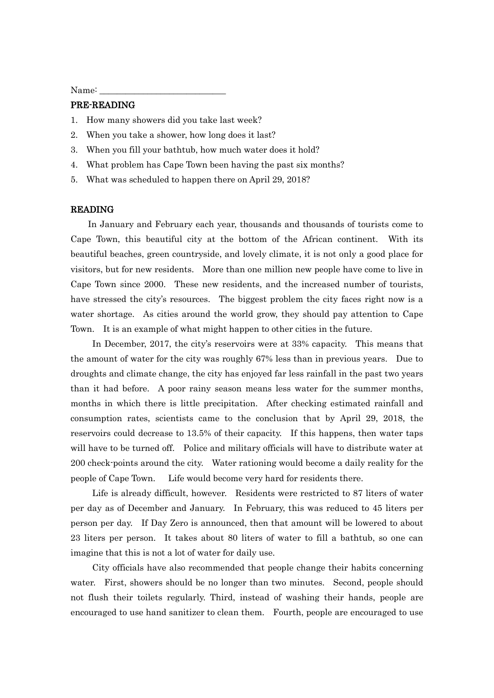Name:

#### PRE-READING

- 1. How many showers did you take last week?
- 2. When you take a shower, how long does it last?
- 3. When you fill your bathtub, how much water does it hold?
- 4. What problem has Cape Town been having the past six months?
- 5. What was scheduled to happen there on April 29, 2018?

#### READING

 In January and February each year, thousands and thousands of tourists come to Cape Town, this beautiful city at the bottom of the African continent. With its beautiful beaches, green countryside, and lovely climate, it is not only a good place for visitors, but for new residents. More than one million new people have come to live in Cape Town since 2000. These new residents, and the increased number of tourists, have stressed the city's resources. The biggest problem the city faces right now is a water shortage. As cities around the world grow, they should pay attention to Cape Town. It is an example of what might happen to other cities in the future.

 In December, 2017, the city's reservoirs were at 33% capacity. This means that the amount of water for the city was roughly 67% less than in previous years. Due to droughts and climate change, the city has enjoyed far less rainfall in the past two years than it had before. A poor rainy season means less water for the summer months, months in which there is little precipitation. After checking estimated rainfall and consumption rates, scientists came to the conclusion that by April 29, 2018, the reservoirs could decrease to 13.5% of their capacity. If this happens, then water taps will have to be turned off. Police and military officials will have to distribute water at 200 check-points around the city. Water rationing would become a daily reality for the people of Cape Town. Life would become very hard for residents there.

 Life is already difficult, however. Residents were restricted to 87 liters of water per day as of December and January. In February, this was reduced to 45 liters per person per day. If Day Zero is announced, then that amount will be lowered to about 23 liters per person. It takes about 80 liters of water to fill a bathtub, so one can imagine that this is not a lot of water for daily use.

 City officials have also recommended that people change their habits concerning water. First, showers should be no longer than two minutes. Second, people should not flush their toilets regularly. Third, instead of washing their hands, people are encouraged to use hand sanitizer to clean them. Fourth, people are encouraged to use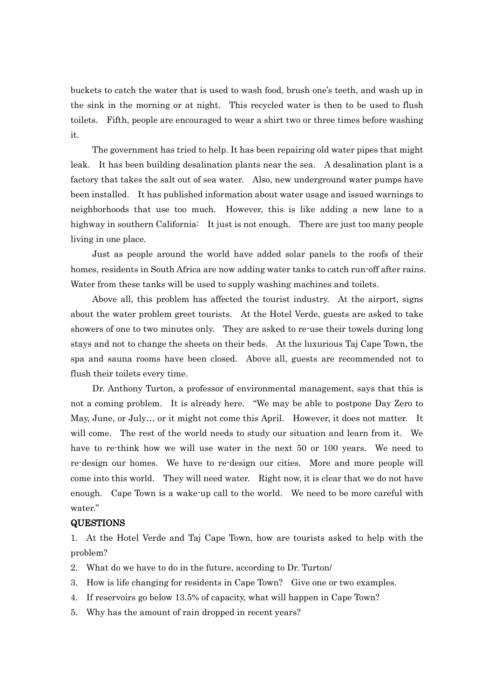buckets to catch the water that is used to wash food, brush one's teeth, and wash up in the sink in the morning or at night. This recycled water is then to be used to flush toilets. Fifth, people are encouraged to wear a shirt two or three times before washing it.

 The government has tried to help. It has been repairing old water pipes that might leak. It has been building desalination plants near the sea. A desalination plant is a factory that takes the salt out of sea water. Also, new underground water pumps have been installed. It has published information about water usage and issued warnings to neighborhoods that use too much. However, this is like adding a new lane to a highway in southern California: It just is not enough. There are just too many people living in one place.

 Just as people around the world have added solar panels to the roofs of their homes, residents in South Africa are now adding water tanks to catch run-off after rains. Water from these tanks will be used to supply washing machines and toilets.

 Above all, this problem has affected the tourist industry. At the airport, signs about the water problem greet tourists. At the Hotel Verde, guests are asked to take showers of one to two minutes only. They are asked to re-use their towels during long stays and not to change the sheets on their beds. At the luxurious Taj Cape Town, the spa and sauna rooms have been closed. Above all, guests are recommended not to flush their toilets every time.

 Dr. Anthony Turton, a professor of environmental management, says that this is not a coming problem. It is already here. "We may be able to postpone Day Zero to May, June, or July… or it might not come this April. However, it does not matter. It will come. The rest of the world needs to study our situation and learn from it. We have to re-think how we will use water in the next 50 or 100 years. We need to re-design our homes. We have to re-design our cities. More and more people will come into this world. They will need water. Right now, it is clear that we do not have enough. Cape Town is a wake-up call to the world. We need to be more careful with water."

#### QUESTIONS

1. At the Hotel Verde and Taj Cape Town, how are tourists asked to help with the problem?

- 2. What do we have to do in the future, according to Dr. Turton/
- 3. How is life changing for residents in Cape Town? Give one or two examples.
- 4. If reservoirs go below 13.5% of capacity, what will happen in Cape Town?
- 5. Why has the amount of rain dropped in recent years?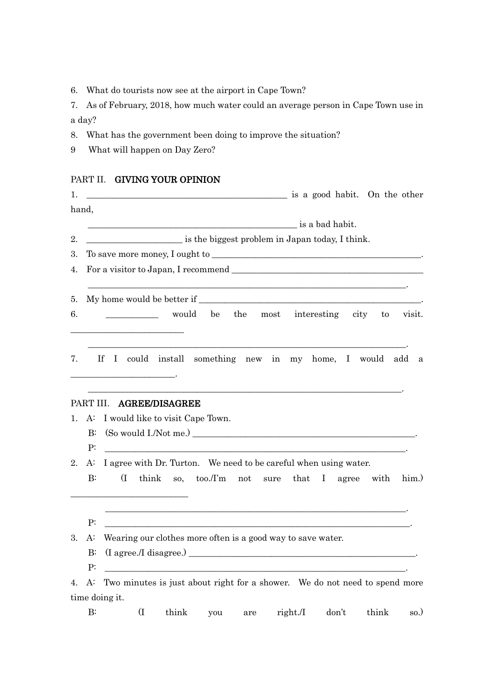6. What do tourists now see at the airport in Cape Town?

7. As of February, 2018, how much water could an average person in Cape Town use in a day?

- 8. What has the government been doing to improve the situation?
- 9 What will happen on Day Zero?

## PART II. GIVING YOUR OPINION

| 1. |                    | is a good habit. On the other                                                                                                                                        |  |
|----|--------------------|----------------------------------------------------------------------------------------------------------------------------------------------------------------------|--|
|    | hand,              |                                                                                                                                                                      |  |
|    |                    |                                                                                                                                                                      |  |
| 2. |                    | is the biggest problem in Japan today, I think.                                                                                                                      |  |
| 3. |                    |                                                                                                                                                                      |  |
| 4. |                    |                                                                                                                                                                      |  |
| 5. |                    |                                                                                                                                                                      |  |
| 6. |                    | would be the most interesting city to visit.<br><u> 1989 - Johann John Harrison, mars eta bat eta bat erroman erroman erroman erroman erroman erroman erroman er</u> |  |
| 7. |                    | If I could install something new in my home, I would add a                                                                                                           |  |
|    |                    | PART III. AGREE/DISAGREE                                                                                                                                             |  |
|    |                    | 1. A: I would like to visit Cape Town.                                                                                                                               |  |
|    | $\mathbf{B}$       |                                                                                                                                                                      |  |
|    | P:                 | <u> 2002 - Jan James James Jan James James James James James James James James James James James James James Ja</u>                                                  |  |
| 2. | A:<br>$\mathbf{B}$ | I agree with Dr. Turton. We need to be careful when using water.<br>$\overline{\Pi}$<br>think so, too./I'm not sure that I agree with him.)                          |  |
|    | P:                 |                                                                                                                                                                      |  |
| 3. | A:                 | Wearing our clothes more often is a good way to save water.                                                                                                          |  |
|    | $B$ :              |                                                                                                                                                                      |  |
|    | P:                 |                                                                                                                                                                      |  |
|    | 4. A:              | Two minutes is just about right for a shower. We do not need to spend more                                                                                           |  |
|    |                    | time doing it.                                                                                                                                                       |  |
|    | $B$ :              | $\overline{\mathrm{I}}$<br>think<br>don't<br>think<br>right./I<br>so.)<br>you<br>are                                                                                 |  |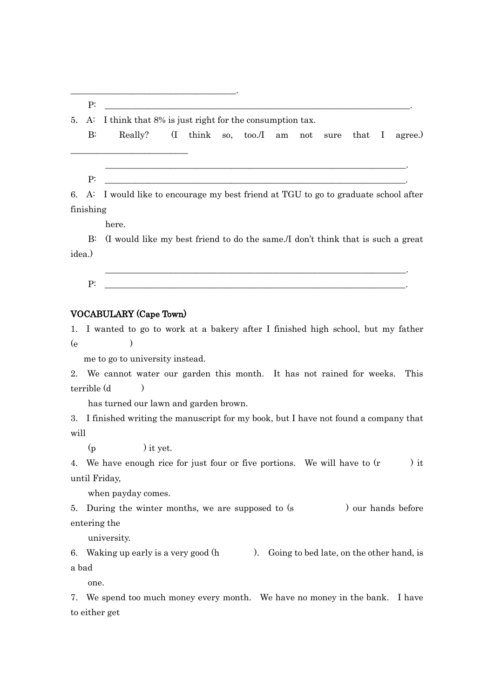P: \_\_\_\_\_\_\_\_\_\_\_\_\_\_\_\_\_\_\_\_\_\_\_\_\_\_\_\_\_\_\_\_\_\_\_\_\_\_\_\_\_\_\_\_\_\_\_\_\_\_\_\_\_\_\_\_\_\_\_\_\_\_\_\_\_\_\_\_\_\_.

\_\_\_\_\_\_\_\_\_\_\_\_\_\_\_\_\_\_\_\_\_\_\_\_\_\_\_\_\_\_\_\_\_\_\_\_\_\_.

5. A: I think that 8% is just right for the consumption tax.

B: Really? (I think so, too./I am not sure that I agree.)

P: \_\_\_\_\_\_\_\_\_\_\_\_\_\_\_\_\_\_\_\_\_\_\_\_\_\_\_\_\_\_\_\_\_\_\_\_\_\_\_\_\_\_\_\_\_\_\_\_\_\_\_\_\_\_\_\_\_\_\_\_\_\_\_\_\_\_\_\_\_.

\_\_\_\_\_\_\_\_\_\_\_\_\_\_\_\_\_\_\_\_\_\_\_\_\_\_\_

6. A: I would like to encourage my best friend at TGU to go to graduate school after finishing

\_\_\_\_\_\_\_\_\_\_\_\_\_\_\_\_\_\_\_\_\_\_\_\_\_\_\_\_\_\_\_\_\_\_\_\_\_\_\_\_\_\_\_\_\_\_\_\_\_\_\_\_\_\_\_\_\_\_\_\_\_\_\_\_\_\_\_\_\_.

here.

 B: (I would like my best friend to do the same./I don't think that is such a great idea.)

 \_\_\_\_\_\_\_\_\_\_\_\_\_\_\_\_\_\_\_\_\_\_\_\_\_\_\_\_\_\_\_\_\_\_\_\_\_\_\_\_\_\_\_\_\_\_\_\_\_\_\_\_\_\_\_\_\_\_\_\_\_\_\_\_\_\_\_\_\_. P: \_\_\_\_\_\_\_\_\_\_\_\_\_\_\_\_\_\_\_\_\_\_\_\_\_\_\_\_\_\_\_\_\_\_\_\_\_\_\_\_\_\_\_\_\_\_\_\_\_\_\_\_\_\_\_\_\_\_\_\_\_\_\_\_\_\_\_\_\_.

#### VOCABULARY (Cape Town)

1. I wanted to go to work at a bakery after I finished high school, but my father  $(e \t)$ 

me to go to university instead.

2. We cannot water our garden this month. It has not rained for weeks. This terrible (d )

has turned our lawn and garden brown.

3. I finished writing the manuscript for my book, but I have not found a company that will

 $(p \t)$  it yet.

4. We have enough rice for just four or five portions. We will have to  $(r \t)$  it until Friday,

when payday comes.

5. During the winter months, we are supposed to (s ) our hands before entering the

university.

6. Waking up early is a very good  $(h \t)$ . Going to bed late, on the other hand, is a bad

one.

7. We spend too much money every month. We have no money in the bank. I have to either get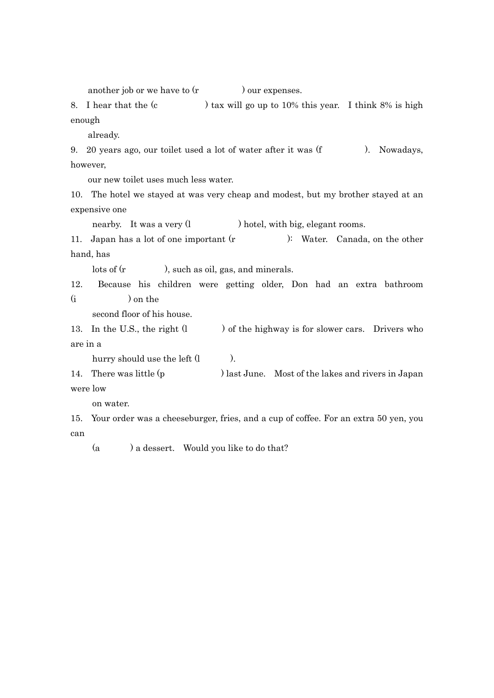another job or we have to (r ) our expenses.

8. I hear that the (c ) tax will go up to 10% this year. I think 8% is high enough

already.

9. 20 years ago, our toilet used a lot of water after it was (f ). Nowadays, however,

our new toilet uses much less water.

10. The hotel we stayed at was very cheap and modest, but my brother stayed at an expensive one

nearby. It was a very (l ) hotel, with big, elegant rooms.

11. Japan has a lot of one important (r ): Water. Canada, on the other hand, has

lots of (r ), such as oil, gas, and minerals.

12. Because his children were getting older, Don had an extra bathroom (i ) on the

second floor of his house.

13. In the U.S., the right  $(l \t)$  of the highway is for slower cars. Drivers who are in a

hurry should use the left  $(1 \t)$ .

14. There was little (p ) last June. Most of the lakes and rivers in Japan were low

on water.

15. Your order was a cheeseburger, fries, and a cup of coffee. For an extra 50 yen, you can

(a ) a dessert. Would you like to do that?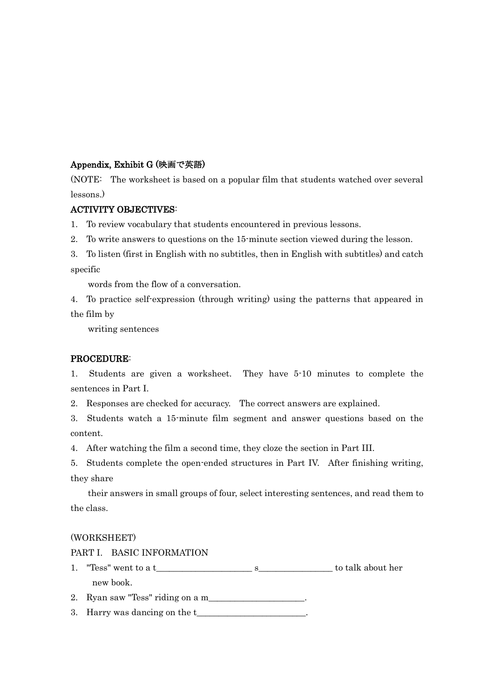#### Appendix, Exhibit G (映画で英語)

(NOTE: The worksheet is based on a popular film that students watched over several lessons.)

#### ACTIVITY OBJECTIVES:

1. To review vocabulary that students encountered in previous lessons.

- 2. To write answers to questions on the 15-minute section viewed during the lesson.
- 3. To listen (first in English with no subtitles, then in English with subtitles) and catch specific

words from the flow of a conversation.

4. To practice self-expression (through writing) using the patterns that appeared in the film by

writing sentences

#### PROCEDURE:

1. Students are given a worksheet. They have 5-10 minutes to complete the sentences in Part I.

2. Responses are checked for accuracy. The correct answers are explained.

3. Students watch a 15-minute film segment and answer questions based on the content.

4. After watching the film a second time, they cloze the section in Part III.

5. Students complete the open-ended structures in Part IV. After finishing writing, they share

their answers in small groups of four, select interesting sentences, and read them to the class.

#### (WORKSHEET)

PART I. BASIC INFORMATION

- 1. "Tess" went to a t service in the service superstandance in the service superstandance in the service superstandance in the service superstandance in the service superstandance in the service superstandance in the servi new book.
- 2. Ryan saw "Tess" riding on a m\_\_\_\_\_\_\_\_\_\_\_\_\_\_\_\_\_\_\_\_\_\_.

3. Harry was dancing on the t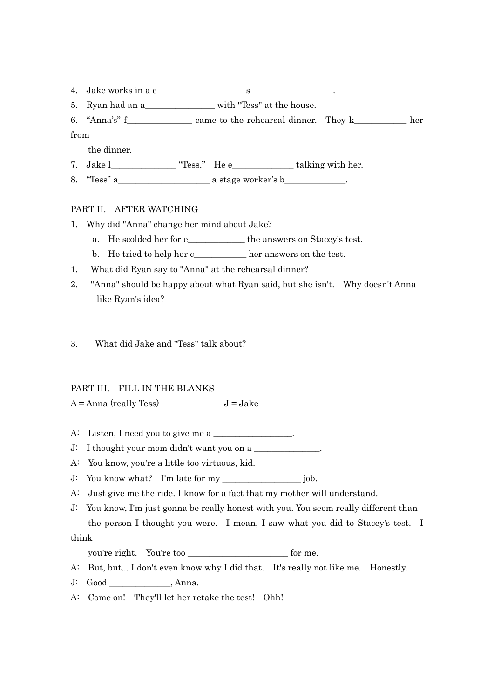- 4. Jake works in a c
- 5. Ryan had an a\_\_\_\_\_\_\_\_\_\_\_\_\_\_\_\_\_\_\_\_\_\_ with "Tess" at the house.
- 6. "Anna's" f\_\_\_\_\_\_\_\_\_\_\_\_\_\_\_ came to the rehearsal dinner. They k\_\_\_\_\_\_\_\_\_\_\_\_ her
- from

the dinner.

- 7. Jake l\_\_\_\_\_\_\_\_\_\_\_\_\_\_\_ "Tess." He e\_\_\_\_\_\_\_\_\_\_\_\_\_\_ talking with her.
- 8. "Tess" a\_\_\_\_\_\_\_\_\_\_\_\_\_\_\_\_\_\_\_\_\_ a stage worker's b\_\_\_\_\_\_\_\_\_\_\_\_\_\_.

#### PART II. AFTER WATCHING

- 1. Why did "Anna" change her mind about Jake?
	- a. He scolded her for e\_\_\_\_\_\_\_\_\_\_\_\_\_ the answers on Stacey's test.
	- b. He tried to help her c\_\_\_\_\_\_\_\_\_\_\_\_ her answers on the test.
- 1. What did Ryan say to "Anna" at the rehearsal dinner?
- 2. "Anna" should be happy about what Ryan said, but she isn't. Why doesn't Anna like Ryan's idea?
- 3. What did Jake and "Tess" talk about?

#### PART III. FILL IN THE BLANKS

- $A = \text{Anna (really Tess)}$   $J = \text{Jack}$
- A: Listen, I need you to give me a
- $J: I$  thought your mom didn't want you on a  $\Box$
- A: You know, you're a little too virtuous, kid.
- J: You know what? I'm late for my \_\_\_\_\_\_\_\_\_\_\_\_\_\_\_\_\_\_ job.
- A: Just give me the ride. I know for a fact that my mother will understand.
- J: You know, I'm just gonna be really honest with you. You seem really different than the person I thought you were. I mean, I saw what you did to Stacey's test. I

think

you're right. You're too \_\_\_\_\_\_\_\_\_\_\_\_\_\_\_\_\_\_\_\_\_\_\_ for me.

- A: But, but... I don't even know why I did that. It's really not like me. Honestly.
- J: Good \_\_\_\_\_\_\_\_\_\_\_\_\_\_, Anna.
- A: Come on! They'll let her retake the test! Ohh!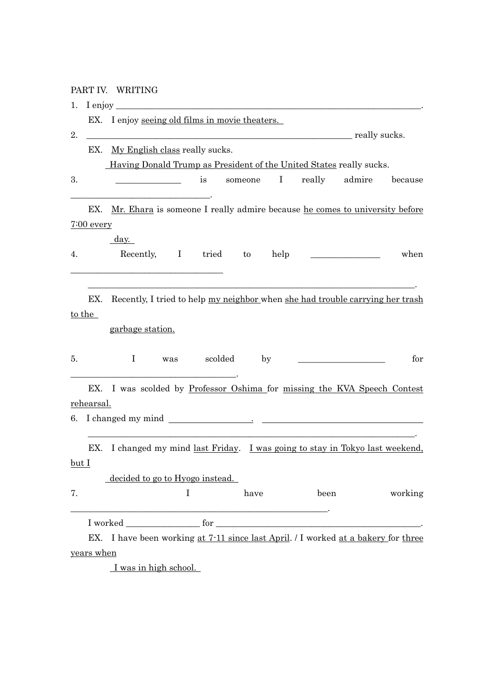## PART IV. WRITING

| 1.      | I enjoy $\overline{\phantom{a}}$ |                                                                                    |
|---------|----------------------------------|------------------------------------------------------------------------------------|
|         | EX.                              | I enjoy seeing old films in movie theaters.                                        |
| 2.      |                                  | <b>EXAMPLE 2018</b> really sucks.                                                  |
|         | EX.                              | My English class really sucks.                                                     |
|         |                                  | <u>Having Donald Trump as President of the United States really sucks.</u>         |
| 3.      |                                  | $\bf{I}$<br>really<br>admire<br>because<br>is<br>someone                           |
|         | EX.                              | Mr. Ehara is someone I really admire because he comes to university before         |
|         | $7:00$ every                     |                                                                                    |
|         |                                  | $\frac{day.}{y}$                                                                   |
| 4.      |                                  | Recently, I tried to help<br>when                                                  |
|         |                                  |                                                                                    |
|         | EX.                              | Recently, I tried to help my neighbor when she had trouble carrying her trash      |
|         | to the                           |                                                                                    |
|         |                                  | garbage station.                                                                   |
|         |                                  |                                                                                    |
| 5.      |                                  | Ι.<br>scolded<br>for<br>by<br>was                                                  |
|         | EX.                              | I was scolded by Professor Oshima for missing the KVA Speech Contest               |
|         | rehearsal.                       |                                                                                    |
|         |                                  |                                                                                    |
|         | EX.                              | I changed my mind <u>last Friday</u> . I was going to stay in Tokyo last weekend,  |
| $but I$ |                                  |                                                                                    |
|         |                                  | decided to go to Hyogo instead.                                                    |
| 7.      |                                  | $\mathbf{I}$<br>have<br>been<br>working                                            |
|         |                                  | <u> 1989 - Jan James James Barnett, fransk politik (d. 1989)</u>                   |
|         |                                  | EX. I have been working at 7-11 since last April. / I worked at a bakery for three |
|         | years when                       |                                                                                    |
|         |                                  | I was in high school.                                                              |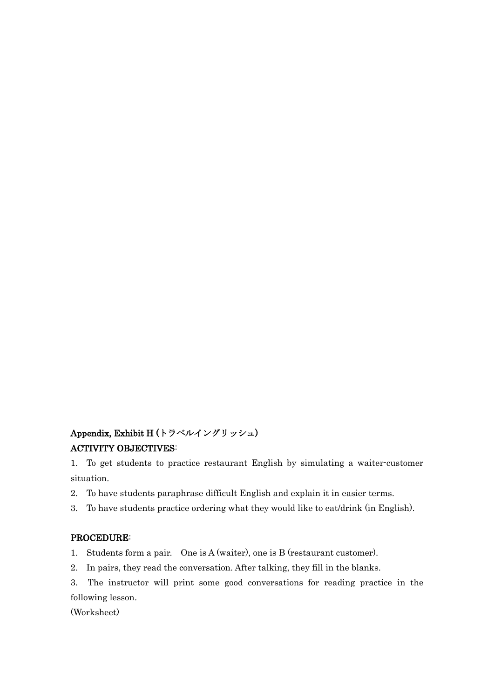## Appendix, Exhibit H (トラベルイングリッシュ) ACTIVITY OBJECTIVES:

1. To get students to practice restaurant English by simulating a waiter-customer situation.

- 2. To have students paraphrase difficult English and explain it in easier terms.
- 3. To have students practice ordering what they would like to eat/drink (in English).

#### PROCEDURE:

1. Students form a pair. One is A (waiter), one is B (restaurant customer).

2. In pairs, they read the conversation. After talking, they fill in the blanks.

3. The instructor will print some good conversations for reading practice in the following lesson.

(Worksheet)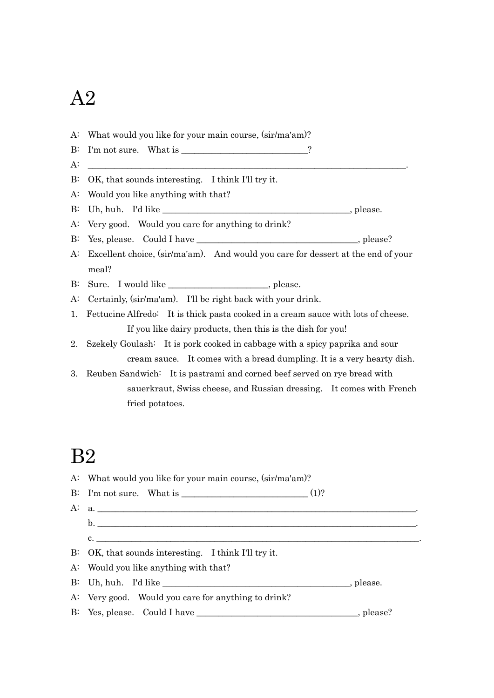# A2

A: What would you like for your main course, (sir/ma'am)? B: I'm not sure. What is \_\_\_\_\_\_\_\_\_\_\_\_\_\_\_\_\_\_\_\_\_\_\_\_\_\_\_\_\_?  $A:$   $\Box$ B: OK, that sounds interesting. I think I'll try it. A: Would you like anything with that? B: Uh, huh. I'd like \_\_\_\_\_\_\_\_\_\_\_\_\_\_\_\_\_\_\_\_\_\_\_\_\_\_\_\_\_\_\_\_\_\_\_\_\_\_\_\_\_\_\_, please. A: Very good. Would you care for anything to drink? B: Yes, please. Could I have \_\_\_\_\_\_\_\_\_\_\_\_\_\_\_\_\_\_\_\_\_\_\_\_\_\_\_\_\_\_\_\_\_\_\_, please? A: Excellent choice, (sir/ma'am). And would you care for dessert at the end of your meal? B: Sure. I would like \_\_\_\_\_\_\_\_\_\_\_\_\_\_\_\_\_\_\_\_, please. A: Certainly, (sir/ma'am). I'll be right back with your drink. 1. Fettucine Alfredo: It is thick pasta cooked in a cream sauce with lots of cheese. If you like dairy products, then this is the dish for you! 2. Szekely Goulash: It is pork cooked in cabbage with a spicy paprika and sour cream sauce. It comes with a bread dumpling. It is a very hearty dish. 3. Reuben Sandwich: It is pastrami and corned beef served on rye bread with sauerkraut, Swiss cheese, and Russian dressing. It comes with French fried potatoes.

## B2

| A: What would you like for your main course, (sir/ma'am)? |  |  |
|-----------------------------------------------------------|--|--|
| B: I'm not sure. What is $\frac{1}{2}$ (1)?               |  |  |
| A: a.                                                     |  |  |
|                                                           |  |  |
| $c.$ $\overline{\phantom{a}}$                             |  |  |
| B: OK, that sounds interesting. I think I'll try it.      |  |  |
| A: Would you like anything with that?                     |  |  |
|                                                           |  |  |
| A: Very good. Would you care for anything to drink?       |  |  |
|                                                           |  |  |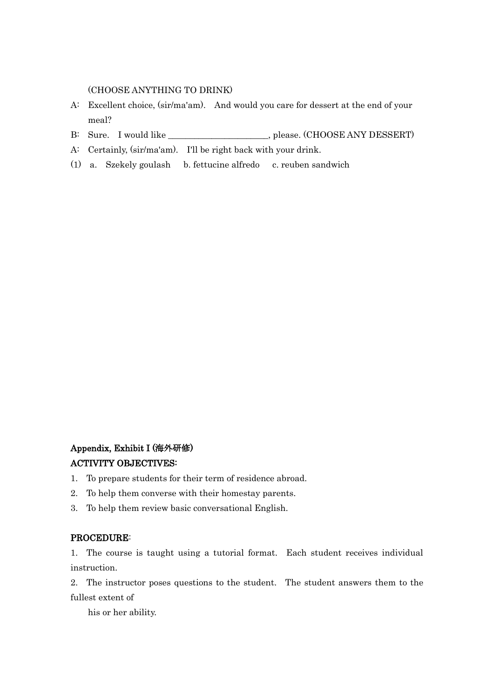(CHOOSE ANYTHING TO DRINK)

- A: Excellent choice, (sir/ma'am). And would you care for dessert at the end of your meal?
- B: Sure. I would like \_\_\_\_\_\_\_\_\_\_\_\_\_\_\_\_\_\_\_\_, please. (CHOOSE ANY DESSERT)
- A: Certainly, (sir/ma'am). I'll be right back with your drink.
- (1) a. Szekely goulash b. fettucine alfredo c. reuben sandwich

## Appendix, Exhibit I (海外研修)

#### ACTIVITY OBJECTIVES:

- 1. To prepare students for their term of residence abroad.
- 2. To help them converse with their homestay parents.
- 3. To help them review basic conversational English.

#### PROCEDURE:

1. The course is taught using a tutorial format. Each student receives individual instruction.

2. The instructor poses questions to the student. The student answers them to the fullest extent of

his or her ability.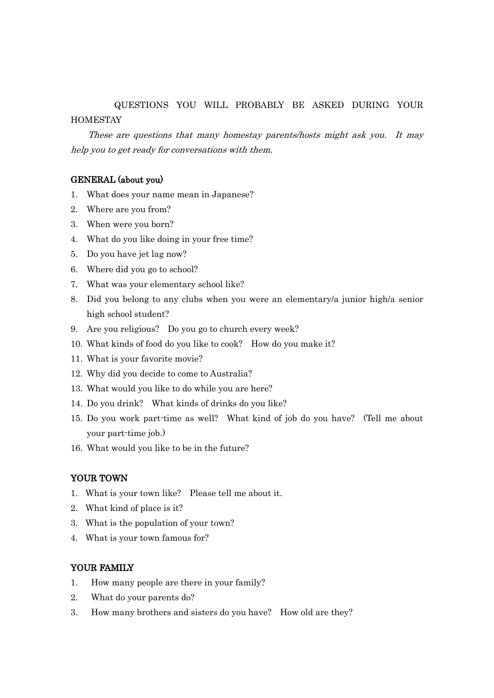## QUESTIONS YOU WILL PROBABLY BE ASKED DURING YOUR **HOMESTAY**

 These are questions that many homestay parents/hosts might ask you. It may help you to get ready for conversations with them.

#### GENERAL (about you)

- 1. What does your name mean in Japanese?
- 2. Where are you from?
- 3. When were you born?
- 4. What do you like doing in your free time?
- 5. Do you have jet lag now?
- 6. Where did you go to school?
- 7. What was your elementary school like?
- 8. Did you belong to any clubs when you were an elementary/a junior high/a senior high school student?
- 9. Are you religious? Do you go to church every week?
- 10. What kinds of food do you like to cook? How do you make it?
- 11. What is your favorite movie?
- 12. Why did you decide to come to Australia?
- 13. What would you like to do while you are here?
- 14. Do you drink? What kinds of drinks do you like?
- 15. Do you work part-time as well? What kind of job do you have? (Tell me about your part-time job.)
- 16. What would you like to be in the future?

#### YOUR TOWN

- 1. What is your town like? Please tell me about it.
- 2. What kind of place is it?
- 3. What is the population of your town?
- 4. What is your town famous for?

#### YOUR FAMILY

- 1. How many people are there in your family?
- 2. What do your parents do?
- 3. How many brothers and sisters do you have? How old are they?